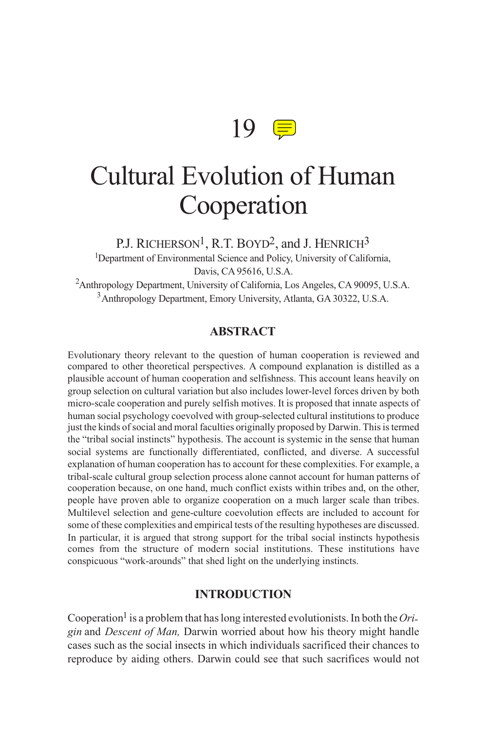19  $\equiv$ 

# Cultural Evolution of Human Cooperation

P.J. RICHERSON<sup>1</sup>, R.T. BOYD<sup>2</sup>, and J. HENRICH<sup>3</sup>

<sup>1</sup>Department of Environmental Science and Policy, University of California, Davis, CA 95616, U.S.A.

<sup>2</sup> Anthropology Department, University of California, Los Angeles, CA 90095, U.S.A. <sup>3</sup>Anthropology Department, Emory University, Atlanta, GA 30322, U.S.A.

# **ABSTRACT**

Evolutionary theory relevant to the question of human cooperation is reviewed and compared to other theoretical perspectives. A compound explanation is distilled as a plausible account of human cooperation and selfishness. This account leans heavily on group selection on cultural variation but also includes lower-level forces driven by both micro-scale cooperation and purely selfish motives. It is proposed that innate aspects of human social psychology coevolved with group-selected cultural institutions to produce just the kinds of social and moral faculties originally proposed by Darwin. This is termed the "tribal social instincts" hypothesis. The account is systemic in the sense that human social systems are functionally differentiated, conflicted, and diverse. A successful explanation of human cooperation has to account for these complexities. For example, a tribal-scale cultural group selection process alone cannot account for human patterns of cooperation because, on one hand, much conflict exists within tribes and, on the other, people have proven able to organize cooperation on a much larger scale than tribes. Multilevel selection and gene-culture coevolution effects are included to account for some of these complexities and empirical tests of the resulting hypotheses are discussed. In particular, it is argued that strong support for the tribal social instincts hypothesis comes from the structure of modern social institutions. These institutions have conspicuous "work-arounds" that shed light on the underlying instincts.

# **INTRODUCTION**

Cooperation<sup>1</sup> is a problem that has long interested evolutionists. In both the *Origin* and *Descent of Man,* Darwin worried about how his theory might handle cases such as the social insects in which individuals sacrificed their chances to reproduce by aiding others. Darwin could see that such sacrifices would not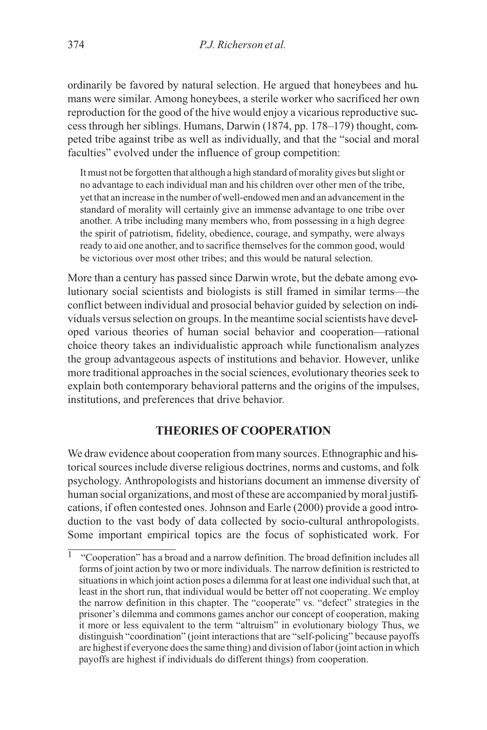ordinarily be favored by natural selection. He argued that honeybees and humans were similar. Among honeybees, a sterile worker who sacrificed her own reproduction for the good of the hive would enjoy a vicarious reproductive success through her siblings. Humans, Darwin (1874, pp. 178–179) thought, competed tribe against tribe as well as individually, and that the "social and moral faculties" evolved under the influence of group competition:

It must not be forgotten that although a high standard of morality gives but slight or no advantage to each individual man and his children over other men of the tribe, yet that an increase in the number of well-endowed men and an advancement in the standard of morality will certainly give an immense advantage to one tribe over another. A tribe including many members who, from possessing in a high degree the spirit of patriotism, fidelity, obedience, courage, and sympathy, were always ready to aid one another, and to sacrifice themselves for the common good, would be victorious over most other tribes; and this would be natural selection.

More than a century has passed since Darwin wrote, but the debate among evolutionary social scientists and biologists is still framed in similar terms—the conflict between individual and prosocial behavior guided by selection on individuals versus selection on groups. In the meantime social scientists have developed various theories of human social behavior and cooperation—rational choice theory takes an individualistic approach while functionalism analyzes the group advantageous aspects of institutions and behavior. However, unlike more traditional approaches in the social sciences, evolutionary theories seek to explain both contemporary behavioral patterns and the origins of the impulses, institutions, and preferences that drive behavior.

# **THEORIES OF COOPERATION**

We draw evidence about cooperation from many sources. Ethnographic and historical sources include diverse religious doctrines, norms and customs, and folk psychology. Anthropologists and historians document an immense diversity of human social organizations, and most of these are accompanied by moral justifications, if often contested ones. Johnson and Earle (2000) provide a good introduction to the vast body of data collected by socio-cultural anthropologists. Some important empirical topics are the focus of sophisticated work. For

<sup>1</sup> "Cooperation" has a broad and a narrow definition. The broad definition includes all forms of joint action by two or more individuals. The narrow definition is restricted to situations in which joint action poses a dilemma for at least one individual such that, at least in the short run, that individual would be better off not cooperating. We employ the narrow definition in this chapter. The "cooperate" vs. "defect" strategies in the prisoner's dilemma and commons games anchor our concept of cooperation, making it more or less equivalent to the term "altruism" in evolutionary biology Thus, we distinguish "coordination" (joint interactions that are "self-policing" because payoffs are highest if everyone does the same thing) and division of labor (joint action in which payoffs are highest if individuals do different things) from cooperation.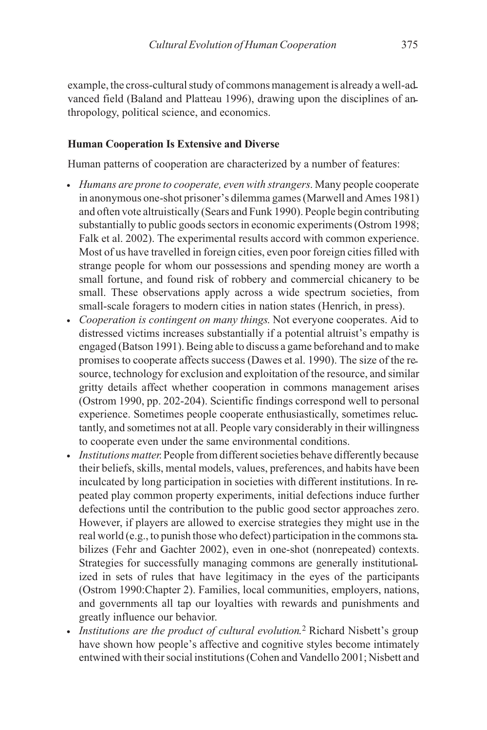example, the cross-cultural study of commons management is already a well-advanced field (Baland and Platteau 1996), drawing upon the disciplines of anthropology, political science, and economics.

## **Human Cooperation Is Extensive and Diverse**

Human patterns of cooperation are characterized by a number of features:

- *Humans are prone to cooperate, even with strangers*. Many people cooperate in anonymous one-shot prisoner's dilemma games (Marwell and Ames 1981) and often vote altruistically (Sears and Funk 1990). People begin contributing substantially to public goods sectors in economic experiments (Ostrom 1998; Falk et al. 2002). The experimental results accord with common experience. Most of us have travelled in foreign cities, even poor foreign cities filled with strange people for whom our possessions and spending money are worth a small fortune, and found risk of robbery and commercial chicanery to be small. These observations apply across a wide spectrum societies, from small-scale foragers to modern cities in nation states (Henrich, in press).
- *Cooperation is contingent on many things*. Not everyone cooperates. Aid to distressed victims increases substantially if a potential altruist's empathy is engaged (Batson 1991). Being able to discuss a game beforehand and to make promises to cooperate affects success (Dawes et al. 1990). The size of the resource, technology for exclusion and exploitation of the resource, and similar gritty details affect whether cooperation in commons management arises (Ostrom 1990, pp. 202-204). Scientific findings correspond well to personal experience. Sometimes people cooperate enthusiastically, sometimes reluctantly, and sometimes not at all. People vary considerably in their willingness to cooperate even under the same environmental conditions.
- *Institutions matter*. People from different societies behave differently because their beliefs, skills, mental models, values, preferences, and habits have been inculcated by long participation in societies with different institutions. In repeated play common property experiments, initial defections induce further defections until the contribution to the public good sector approaches zero. However, if players are allowed to exercise strategies they might use in the real world (e.g., to punish those who defect) participation in the commons stabilizes (Fehr and Gachter 2002), even in one-shot (nonrepeated) contexts. Strategies for successfully managing commons are generally institutionalized in sets of rules that have legitimacy in the eyes of the participants (Ostrom 1990:Chapter 2). Families, local communities, employers, nations, and governments all tap our loyalties with rewards and punishments and greatly influence our behavior.
- *Institutions are the product of cultural evolution*.<sup>2</sup> Richard Nisbett's group have shown how people's affective and cognitive styles become intimately entwined with their social institutions (Cohen and Vandello 2001; Nisbett and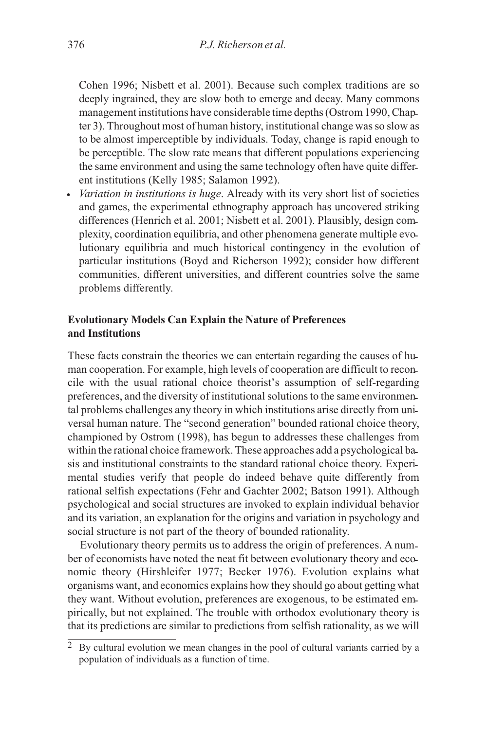Cohen 1996; Nisbett et al. 2001). Because such complex traditions are so deeply ingrained, they are slow both to emerge and decay. Many commons management institutions have considerable time depths (Ostrom 1990, Chapter 3). Throughout most of human history, institutional change was so slow as to be almost imperceptible by individuals. Today, change is rapid enough to be perceptible. The slow rate means that different populations experiencing the same environment and using the same technology often have quite different institutions (Kelly 1985; Salamon 1992).

• *Variation in institutions is huge*. Already with its very short list of societies and games, the experimental ethnography approach has uncovered striking differences (Henrich et al. 2001; Nisbett et al. 2001). Plausibly, design complexity, coordination equilibria, and other phenomena generate multiple evolutionary equilibria and much historical contingency in the evolution of particular institutions (Boyd and Richerson 1992); consider how different communities, different universities, and different countries solve the same problems differently.

# **Evolutionary Models Can Explain the Nature of Preferences and Institutions**

These facts constrain the theories we can entertain regarding the causes of human cooperation. For example, high levels of cooperation are difficult to reconcile with the usual rational choice theorist's assumption of self-regarding preferences, and the diversity of institutional solutions to the same environmental problems challenges any theory in which institutions arise directly from universal human nature. The "second generation" bounded rational choice theory, championed by Ostrom (1998), has begun to addresses these challenges from within the rational choice framework. These approaches add a psychological basis and institutional constraints to the standard rational choice theory. Experimental studies verify that people do indeed behave quite differently from rational selfish expectations (Fehr and Gachter 2002; Batson 1991). Although psychological and social structures are invoked to explain individual behavior and its variation, an explanation for the origins and variation in psychology and social structure is not part of the theory of bounded rationality.

Evolutionary theory permits us to address the origin of preferences. A number of economists have noted the neat fit between evolutionary theory and economic theory (Hirshleifer 1977; Becker 1976). Evolution explains what organisms want, and economics explains how they should go about getting what they want. Without evolution, preferences are exogenous, to be estimated empirically, but not explained. The trouble with orthodox evolutionary theory is that its predictions are similar to predictions from selfish rationality, as we will

 $2\,$  By cultural evolution we mean changes in the pool of cultural variants carried by a population of individuals as a function of time.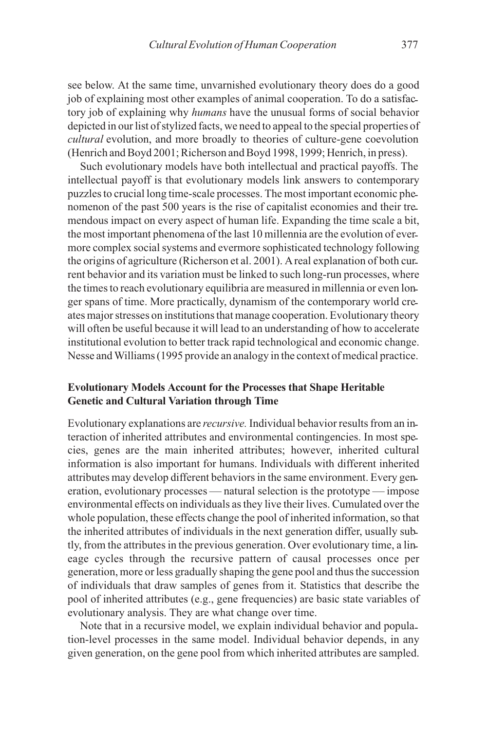see below. At the same time, unvarnished evolutionary theory does do a good job of explaining most other examples of animal cooperation. To do a satisfactory job of explaining why *humans* have the unusual forms of social behavior depicted in our list of stylized facts, we need to appeal to the special properties of *cultural* evolution, and more broadly to theories of culture-gene coevolution (Henrich and Boyd 2001; Richerson and Boyd 1998, 1999; Henrich, in press).

Such evolutionary models have both intellectual and practical payoffs. The intellectual payoff is that evolutionary models link answers to contemporary puzzles to crucial long time-scale processes. The most important economic phenomenon of the past 500 years is the rise of capitalist economies and their tremendous impact on every aspect of human life. Expanding the time scale a bit, the most important phenomena of the last 10 millennia are the evolution of evermore complex social systems and evermore sophisticated technology following the origins of agriculture (Richerson et al. 2001). Areal explanation of both current behavior and its variation must be linked to such long-run processes, where the times to reach evolutionary equilibria are measured in millennia or even longer spans of time. More practically, dynamism of the contemporary world creates major stresses on institutions that manage cooperation. Evolutionary theory will often be useful because it will lead to an understanding of how to accelerate institutional evolution to better track rapid technological and economic change. Nesse and Williams (1995 provide an analogy in the context of medical practice.

# **Evolutionary Models Account for the Processes that Shape Heritable Genetic and Cultural Variation through Time**

Evolutionary explanations are *recursive.*Individual behavior results from an interaction of inherited attributes and environmental contingencies. In most species, genes are the main inherited attributes; however, inherited cultural information is also important for humans. Individuals with different inherited attributes may develop different behaviors in the same environment. Every generation, evolutionary processes — natural selection is the prototype — impose environmental effects on individuals as they live their lives. Cumulated over the whole population, these effects change the pool of inherited information, so that the inherited attributes of individuals in the next generation differ, usually subtly, from the attributes in the previous generation. Over evolutionary time, a lineage cycles through the recursive pattern of causal processes once per generation, more or less gradually shaping the gene pool and thus the succession of individuals that draw samples of genes from it. Statistics that describe the pool of inherited attributes (e.g., gene frequencies) are basic state variables of evolutionary analysis. They are what change over time.

Note that in a recursive model, we explain individual behavior and population-level processes in the same model. Individual behavior depends, in any given generation, on the gene pool from which inherited attributes are sampled.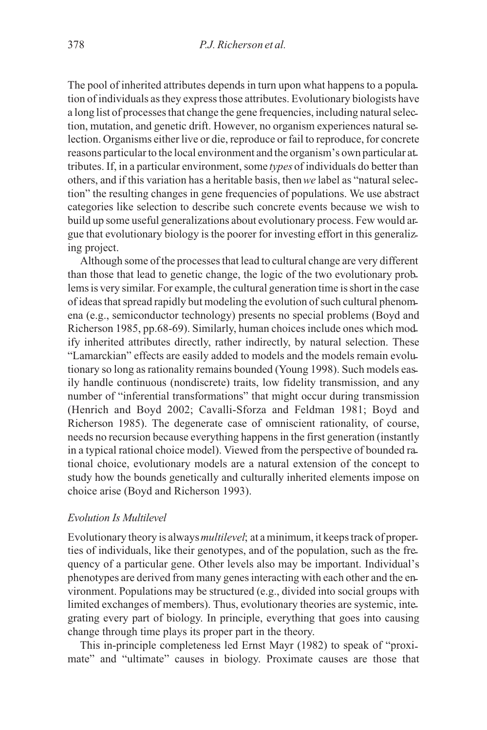The pool of inherited attributes depends in turn upon what happens to a population of individuals as they express those attributes. Evolutionary biologists have a long list of processes that change the gene frequencies, including natural selection, mutation, and genetic drift. However, no organism experiences natural selection. Organisms either live or die, reproduce or fail to reproduce, for concrete reasons particular to the local environment and the organism's own particular attributes. If, in a particular environment, some *types* of individuals do better than others, and if this variation has a heritable basis, then*we* label as "natural selection" the resulting changes in gene frequencies of populations. We use abstract categories like selection to describe such concrete events because we wish to build up some useful generalizations about evolutionary process. Few would argue that evolutionary biology is the poorer for investing effort in this generalizing project.

Although some of the processes that lead to cultural change are very different than those that lead to genetic change, the logic of the two evolutionary problems is very similar. For example, the cultural generation time is short in the case of ideas that spread rapidly but modeling the evolution of such cultural phenomena (e.g., semiconductor technology) presents no special problems (Boyd and Richerson 1985, pp.68-69). Similarly, human choices include ones which modify inherited attributes directly, rather indirectly, by natural selection. These "Lamarckian" effects are easily added to models and the models remain evolutionary so long as rationality remains bounded (Young 1998). Such models easily handle continuous (nondiscrete) traits, low fidelity transmission, and any number of "inferential transformations" that might occur during transmission (Henrich and Boyd 2002; Cavalli-Sforza and Feldman 1981; Boyd and Richerson 1985). The degenerate case of omniscient rationality, of course, needs no recursion because everything happens in the first generation (instantly in a typical rational choice model). Viewed from the perspective of bounded rational choice, evolutionary models are a natural extension of the concept to study how the bounds genetically and culturally inherited elements impose on choice arise (Boyd and Richerson 1993).

## *Evolution Is Multilevel*

Evolutionary theory is always*multilevel*; at a minimum, it keeps track of properties of individuals, like their genotypes, and of the population, such as the frequency of a particular gene. Other levels also may be important. Individual's phenotypes are derived from many genes interacting with each other and the environment. Populations may be structured (e.g., divided into social groups with limited exchanges of members). Thus, evolutionary theories are systemic, integrating every part of biology. In principle, everything that goes into causing change through time plays its proper part in the theory.

This in-principle completeness led Ernst Mayr (1982) to speak of "proximate" and "ultimate" causes in biology. Proximate causes are those that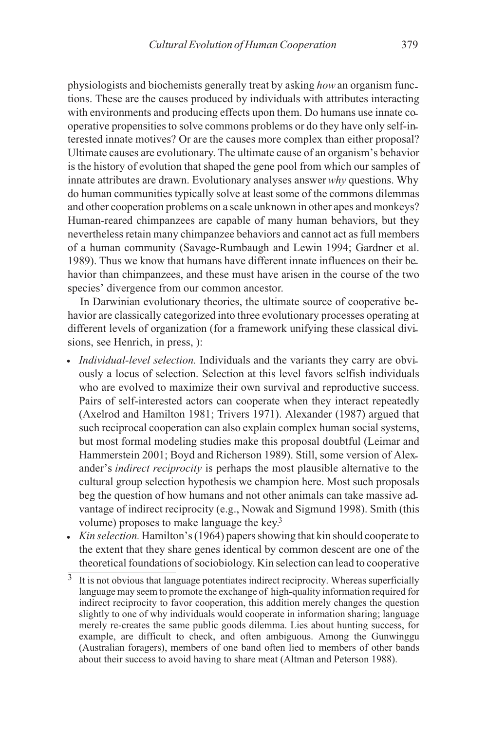physiologists and biochemists generally treat by asking *how*an organism functions. These are the causes produced by individuals with attributes interacting with environments and producing effects upon them. Do humans use innate cooperative propensities to solve commons problems or do they have only self-interested innate motives? Or are the causes more complex than either proposal? Ultimate causes are evolutionary. The ultimate cause of an organism's behavior is the history of evolution that shaped the gene pool from which our samples of innate attributes are drawn. Evolutionary analyses answer*why* questions. Why do human communities typically solve at least some of the commons dilemmas and other cooperation problems on a scale unknown in other apes and monkeys? Human-reared chimpanzees are capable of many human behaviors, but they nevertheless retain many chimpanzee behaviors and cannot act as full members of a human community (Savage-Rumbaugh and Lewin 1994; Gardner et al. 1989). Thus we know that humans have different innate influences on their behavior than chimpanzees, and these must have arisen in the course of the two species' divergence from our common ancestor.

In Darwinian evolutionary theories, the ultimate source of cooperative behavior are classically categorized into three evolutionary processes operating at different levels of organization (for a framework unifying these classical divisions, see Henrich, in press, ):

- *Individual-level selection.* Individuals and the variants they carry are obviously a locus of selection. Selection at this level favors selfish individuals who are evolved to maximize their own survival and reproductive success. Pairs of self-interested actors can cooperate when they interact repeatedly (Axelrod and Hamilton 1981; Trivers 1971). Alexander (1987) argued that such reciprocal cooperation can also explain complex human social systems, but most formal modeling studies make this proposal doubtful (Leimar and Hammerstein 2001; Boyd and Richerson 1989). Still, some version of Alexander's *indirect reciprocity* is perhaps the most plausible alternative to the cultural group selection hypothesis we champion here. Most such proposals beg the question of how humans and not other animals can take massive advantage of indirect reciprocity (e.g., Nowak and Sigmund 1998). Smith (this volume) proposes to make language the key.3
- *Kin selection.* Hamilton's (1964) papers showing that kin should cooperate to the extent that they share genes identical by common descent are one of the theoretical foundations of sociobiology. Kin selection can lead to cooperative

 $\frac{3}{3}$  It is not obvious that language potentiates indirect reciprocity. Whereas superficially language may seem to promote the exchange of high-quality information required for indirect reciprocity to favor cooperation, this addition merely changes the question slightly to one of why individuals would cooperate in information sharing; language merely re-creates the same public goods dilemma. Lies about hunting success, for example, are difficult to check, and often ambiguous. Among the Gunwinggu (Australian foragers), members of one band often lied to members of other bands about their success to avoid having to share meat (Altman and Peterson 1988).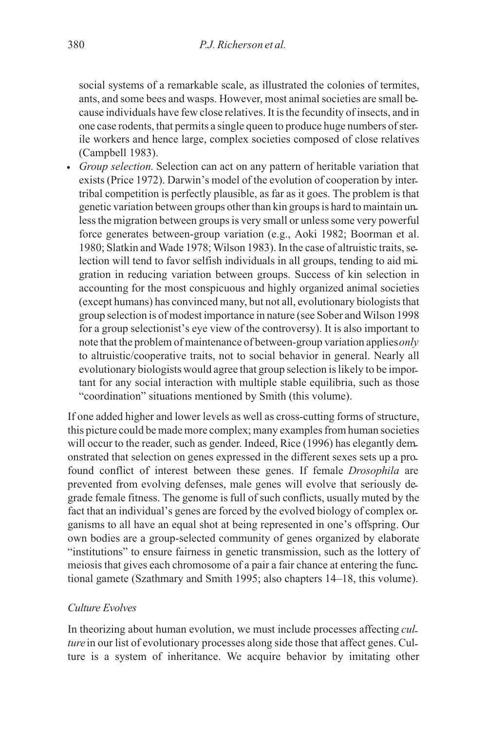social systems of a remarkable scale, as illustrated the colonies of termites, ants, and some bees and wasps. However, most animal societies are small because individuals have few close relatives. It is the fecundity of insects, and in one case rodents, that permits a single queen to produce huge numbers of sterile workers and hence large, complex societies composed of close relatives (Campbell 1983).

• *Group selection.* Selection can act on any pattern of heritable variation that exists (Price 1972). Darwin's model of the evolution of cooperation by intertribal competition is perfectly plausible, as far as it goes. The problem is that genetic variation between groups other than kin groups is hard to maintain unless the migration between groups is very small or unless some very powerful force generates between-group variation (e.g., Aoki 1982; Boorman et al. 1980; Slatkin and Wade 1978; Wilson 1983). In the case of altruistic traits, selection will tend to favor selfish individuals in all groups, tending to aid migration in reducing variation between groups. Success of kin selection in accounting for the most conspicuous and highly organized animal societies (except humans) has convinced many, but not all, evolutionary biologists that group selection is of modest importance in nature (see Sober and Wilson 1998 for a group selectionist's eye view of the controversy). It is also important to note that the problem of maintenance of between-group variation applies*only* to altruistic/cooperative traits, not to social behavior in general. Nearly all evolutionary biologists would agree that group selection is likely to be important for any social interaction with multiple stable equilibria, such as those "coordination" situations mentioned by Smith (this volume).

If one added higher and lower levels as well as cross-cutting forms of structure, this picture could be made more complex; many examples from human societies will occur to the reader, such as gender. Indeed, Rice (1996) has elegantly demonstrated that selection on genes expressed in the different sexes sets up a profound conflict of interest between these genes. If female *Drosophila* are prevented from evolving defenses, male genes will evolve that seriously degrade female fitness. The genome is full of such conflicts, usually muted by the fact that an individual's genes are forced by the evolved biology of complex organisms to all have an equal shot at being represented in one's offspring. Our own bodies are a group-selected community of genes organized by elaborate "institutions" to ensure fairness in genetic transmission, such as the lottery of meiosis that gives each chromosome of a pair a fair chance at entering the functional gamete (Szathmary and Smith 1995; also chapters 14–18, this volume).

#### *Culture Evolves*

In theorizing about human evolution, we must include processes affecting *culture* in our list of evolutionary processes along side those that affect genes. Culture is a system of inheritance. We acquire behavior by imitating other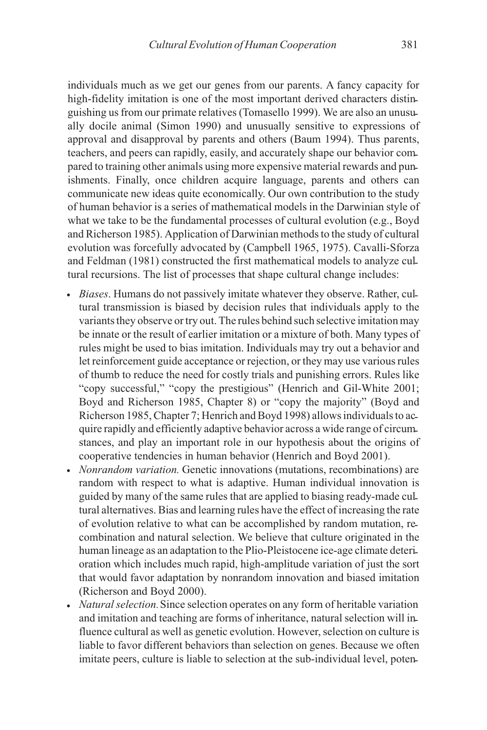individuals much as we get our genes from our parents. A fancy capacity for high-fidelity imitation is one of the most important derived characters distinguishing us from our primate relatives (Tomasello 1999). We are also an unusually docile animal (Simon 1990) and unusually sensitive to expressions of approval and disapproval by parents and others (Baum 1994). Thus parents, teachers, and peers can rapidly, easily, and accurately shape our behavior compared to training other animals using more expensive material rewards and punishments. Finally, once children acquire language, parents and others can communicate new ideas quite economically. Our own contribution to the study of human behavior is a series of mathematical models in the Darwinian style of what we take to be the fundamental processes of cultural evolution (e.g., Boyd and Richerson 1985). Application of Darwinian methods to the study of cultural evolution was forcefully advocated by (Campbell 1965, 1975). Cavalli-Sforza and Feldman (1981) constructed the first mathematical models to analyze cultural recursions. The list of processes that shape cultural change includes:

- *Biases*. Humans do not passively imitate whatever they observe. Rather, cultural transmission is biased by decision rules that individuals apply to the variants they observe or try out. The rules behind such selective imitation may be innate or the result of earlier imitation or a mixture of both. Many types of rules might be used to bias imitation. Individuals may try out a behavior and let reinforcement guide acceptance or rejection, or they may use various rules of thumb to reduce the need for costly trials and punishing errors. Rules like "copy successful," "copy the prestigious" (Henrich and Gil-White 2001; Boyd and Richerson 1985, Chapter 8) or "copy the majority" (Boyd and Richerson 1985, Chapter 7; Henrich and Boyd 1998) allows individuals to acquire rapidly and efficiently adaptive behavior across a wide range of circumstances, and play an important role in our hypothesis about the origins of cooperative tendencies in human behavior (Henrich and Boyd 2001).
- *Nonrandom variation.* Genetic innovations (mutations, recombinations) are random with respect to what is adaptive. Human individual innovation is guided by many of the same rules that are applied to biasing ready-made cultural alternatives. Bias and learning rules have the effect of increasing the rate of evolution relative to what can be accomplished by random mutation, recombination and natural selection. We believe that culture originated in the human lineage as an adaptation to the Plio-Pleistocene ice-age climate deterioration which includes much rapid, high-amplitude variation of just the sort that would favor adaptation by nonrandom innovation and biased imitation (Richerson and Boyd 2000).
- *Natural selection.*Since selection operates on any form of heritable variation and imitation and teaching are forms of inheritance, natural selection will influence cultural as well as genetic evolution. However, selection on culture is liable to favor different behaviors than selection on genes. Because we often imitate peers, culture is liable to selection at the sub-individual level, poten-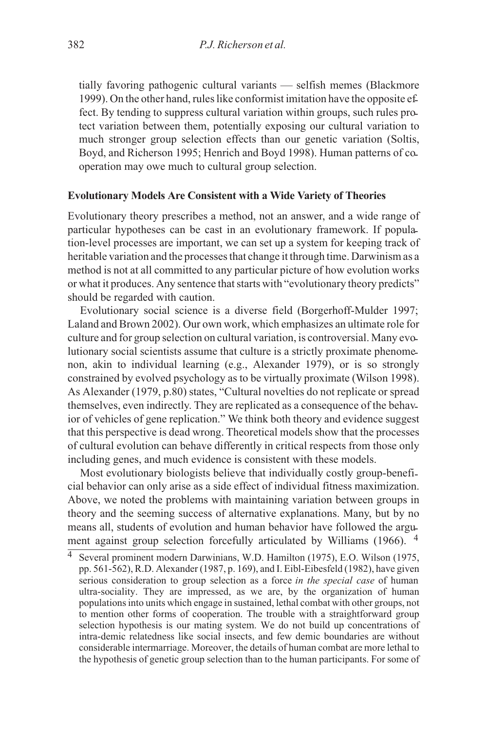tially favoring pathogenic cultural variants — selfish memes (Blackmore 1999). On the other hand, rules like conformist imitation have the opposite effect. By tending to suppress cultural variation within groups, such rules protect variation between them, potentially exposing our cultural variation to much stronger group selection effects than our genetic variation (Soltis, Boyd, and Richerson 1995; Henrich and Boyd 1998). Human patterns of cooperation may owe much to cultural group selection.

### **Evolutionary Models Are Consistent with a Wide Variety of Theories**

Evolutionary theory prescribes a method, not an answer, and a wide range of particular hypotheses can be cast in an evolutionary framework. If population-level processes are important, we can set up a system for keeping track of heritable variation and the processes that change it through time. Darwinism as a method is not at all committed to any particular picture of how evolution works or what it produces. Any sentence that starts with "evolutionary theory predicts" should be regarded with caution.

Evolutionary social science is a diverse field (Borgerhoff-Mulder 1997; Laland and Brown 2002). Our own work, which emphasizes an ultimate role for culture and for group selection on cultural variation, is controversial. Many evolutionary social scientists assume that culture is a strictly proximate phenomenon, akin to individual learning (e.g., Alexander 1979), or is so strongly constrained by evolved psychology as to be virtually proximate (Wilson 1998). As Alexander (1979, p.80) states, "Cultural novelties do not replicate or spread themselves, even indirectly. They are replicated as a consequence of the behavior of vehicles of gene replication." We think both theory and evidence suggest that this perspective is dead wrong. Theoretical models show that the processes of cultural evolution can behave differently in critical respects from those only including genes, and much evidence is consistent with these models.

Most evolutionary biologists believe that individually costly group-beneficial behavior can only arise as a side effect of individual fitness maximization. Above, we noted the problems with maintaining variation between groups in theory and the seeming success of alternative explanations. Many, but by no means all, students of evolution and human behavior have followed the argument against group selection forcefully articulated by Williams (1966). <sup>4</sup>

Several prominent modern Darwinians, W.D. Hamilton (1975), E.O. Wilson (1975, pp. 561-562), R.D. Alexander (1987, p. 169), and I. Eibl-Eibesfeld (1982), have given serious consideration to group selection as a force *in the special case* of human ultra-sociality. They are impressed, as we are, by the organization of human populations into units which engage in sustained, lethal combat with other groups, not to mention other forms of cooperation. The trouble with a straightforward group selection hypothesis is our mating system. We do not build up concentrations of intra-demic relatedness like social insects, and few demic boundaries are without considerable intermarriage. Moreover, the details of human combat are more lethal to the hypothesis of genetic group selection than to the human participants. For some of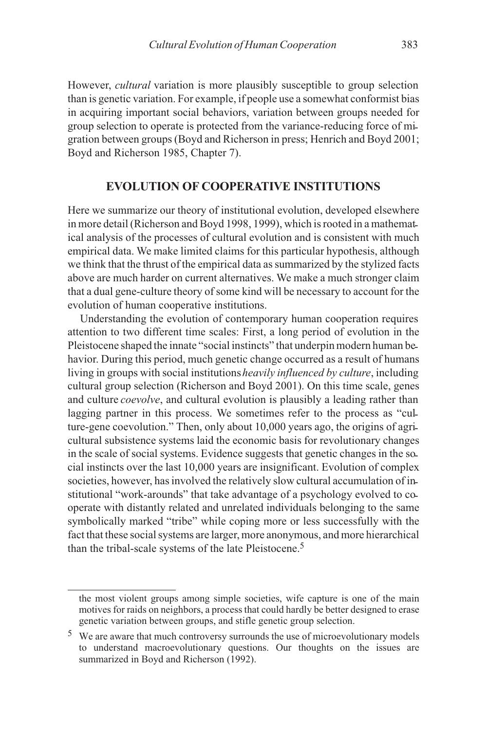However, *cultural* variation is more plausibly susceptible to group selection than is genetic variation. For example, if people use a somewhat conformist bias in acquiring important social behaviors, variation between groups needed for group selection to operate is protected from the variance-reducing force of migration between groups (Boyd and Richerson in press; Henrich and Boyd 2001; Boyd and Richerson 1985, Chapter 7).

# **EVOLUTION OF COOPERATIVE INSTITUTIONS**

Here we summarize our theory of institutional evolution, developed elsewhere in more detail (Richerson and Boyd 1998, 1999), which is rooted in a mathematical analysis of the processes of cultural evolution and is consistent with much empirical data. We make limited claims for this particular hypothesis, although we think that the thrust of the empirical data as summarized by the stylized facts above are much harder on current alternatives. We make a much stronger claim that a dual gene-culture theory of some kind will be necessary to account for the evolution of human cooperative institutions.

Understanding the evolution of contemporary human cooperation requires attention to two different time scales: First, a long period of evolution in the Pleistocene shaped the innate "social instincts" that underpin modern human behavior. During this period, much genetic change occurred as a result of humans living in groups with social institutions *heavily influenced by culture*, including cultural group selection (Richerson and Boyd 2001). On this time scale, genes and culture *coevolve*, and cultural evolution is plausibly a leading rather than lagging partner in this process. We sometimes refer to the process as "culture-gene coevolution." Then, only about 10,000 years ago, the origins of agricultural subsistence systems laid the economic basis for revolutionary changes in the scale of social systems. Evidence suggests that genetic changes in the social instincts over the last 10,000 years are insignificant. Evolution of complex societies, however, has involved the relatively slow cultural accumulation of institutional "work-arounds" that take advantage of a psychology evolved to cooperate with distantly related and unrelated individuals belonging to the same symbolically marked "tribe" while coping more or less successfully with the fact that these social systems are larger, more anonymous, and more hierarchical than the tribal-scale systems of the late Pleistocene.5

the most violent groups among simple societies, wife capture is one of the main motives for raids on neighbors, a process that could hardly be better designed to erase genetic variation between groups, and stifle genetic group selection.

<sup>5</sup> We are aware that much controversy surrounds the use of microevolutionary models to understand macroevolutionary questions. Our thoughts on the issues are summarized in Boyd and Richerson (1992).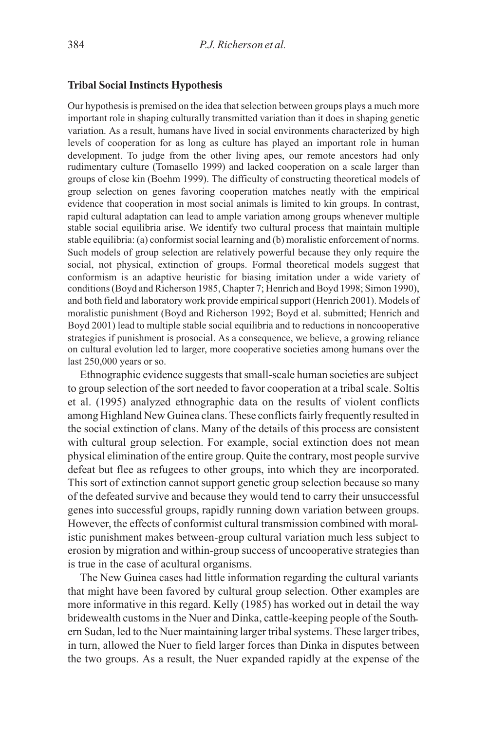#### **Tribal Social Instincts Hypothesis**

Our hypothesis is premised on the idea that selection between groups plays a much more important role in shaping culturally transmitted variation than it does in shaping genetic variation. As a result, humans have lived in social environments characterized by high levels of cooperation for as long as culture has played an important role in human development. To judge from the other living apes, our remote ancestors had only rudimentary culture (Tomasello 1999) and lacked cooperation on a scale larger than groups of close kin (Boehm 1999). The difficulty of constructing theoretical models of group selection on genes favoring cooperation matches neatly with the empirical evidence that cooperation in most social animals is limited to kin groups. In contrast, rapid cultural adaptation can lead to ample variation among groups whenever multiple stable social equilibria arise. We identify two cultural process that maintain multiple stable equilibria: (a) conformist social learning and (b) moralistic enforcement of norms. Such models of group selection are relatively powerful because they only require the social, not physical, extinction of groups. Formal theoretical models suggest that conformism is an adaptive heuristic for biasing imitation under a wide variety of conditions (Boyd and Richerson 1985, Chapter 7; Henrich and Boyd 1998; Simon 1990), and both field and laboratory work provide empirical support (Henrich 2001). Models of moralistic punishment (Boyd and Richerson 1992; Boyd et al. submitted; Henrich and Boyd 2001) lead to multiple stable social equilibria and to reductions in noncooperative strategies if punishment is prosocial. As a consequence, we believe, a growing reliance on cultural evolution led to larger, more cooperative societies among humans over the last 250,000 years or so.

Ethnographic evidence suggests that small-scale human societies are subject to group selection of the sort needed to favor cooperation at a tribal scale. Soltis et al. (1995) analyzed ethnographic data on the results of violent conflicts among Highland New Guinea clans. These conflicts fairly frequently resulted in the social extinction of clans. Many of the details of this process are consistent with cultural group selection. For example, social extinction does not mean physical elimination of the entire group. Quite the contrary, most people survive defeat but flee as refugees to other groups, into which they are incorporated. This sort of extinction cannot support genetic group selection because so many of the defeated survive and because they would tend to carry their unsuccessful genes into successful groups, rapidly running down variation between groups. However, the effects of conformist cultural transmission combined with moralistic punishment makes between-group cultural variation much less subject to erosion by migration and within-group success of uncooperative strategies than is true in the case of acultural organisms.

The New Guinea cases had little information regarding the cultural variants that might have been favored by cultural group selection. Other examples are more informative in this regard. Kelly (1985) has worked out in detail the way bridewealth customs in the Nuer and Dinka, cattle-keeping people of the Southern Sudan, led to the Nuer maintaining larger tribal systems. These larger tribes, in turn, allowed the Nuer to field larger forces than Dinka in disputes between the two groups. As a result, the Nuer expanded rapidly at the expense of the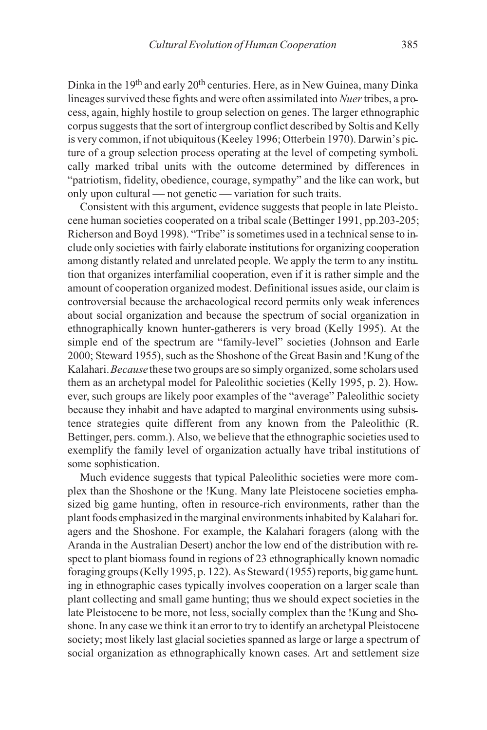Dinka in the 19<sup>th</sup> and early 20<sup>th</sup> centuries. Here, as in New Guinea, many Dinka lineages survived these fights and were often assimilated into *Nuer*tribes, a process, again, highly hostile to group selection on genes. The larger ethnographic corpus suggests that the sort of intergroup conflict described by Soltis and Kelly is very common, if not ubiquitous (Keeley 1996; Otterbein 1970). Darwin's picture of a group selection process operating at the level of competing symbolically marked tribal units with the outcome determined by differences in "patriotism, fidelity, obedience, courage, sympathy" and the like can work, but only upon cultural — not genetic — variation for such traits.

Consistent with this argument, evidence suggests that people in late Pleistocene human societies cooperated on a tribal scale (Bettinger 1991, pp.203-205; Richerson and Boyd 1998). "Tribe" is sometimes used in a technical sense to include only societies with fairly elaborate institutions for organizing cooperation among distantly related and unrelated people. We apply the term to any institution that organizes interfamilial cooperation, even if it is rather simple and the amount of cooperation organized modest. Definitional issues aside, our claim is controversial because the archaeological record permits only weak inferences about social organization and because the spectrum of social organization in ethnographically known hunter-gatherers is very broad (Kelly 1995). At the simple end of the spectrum are "family-level" societies (Johnson and Earle 2000; Steward 1955), such as the Shoshone of the Great Basin and !Kung of the Kalahari.*Because* these two groups are so simply organized, some scholars used them as an archetypal model for Paleolithic societies (Kelly 1995, p. 2). However, such groups are likely poor examples of the "average" Paleolithic society because they inhabit and have adapted to marginal environments using subsistence strategies quite different from any known from the Paleolithic (R. Bettinger, pers. comm.). Also, we believe that the ethnographic societies used to exemplify the family level of organization actually have tribal institutions of some sophistication.

Much evidence suggests that typical Paleolithic societies were more complex than the Shoshone or the !Kung. Many late Pleistocene societies emphasized big game hunting, often in resource-rich environments, rather than the plant foods emphasized in the marginal environments inhabited by Kalahari foragers and the Shoshone. For example, the Kalahari foragers (along with the Aranda in the Australian Desert) anchor the low end of the distribution with respect to plant biomass found in regions of 23 ethnographically known nomadic foraging groups (Kelly 1995, p. 122). As Steward (1955) reports, big game hunting in ethnographic cases typically involves cooperation on a larger scale than plant collecting and small game hunting; thus we should expect societies in the late Pleistocene to be more, not less, socially complex than the !Kung and Shoshone. In any case we think it an error to try to identify an archetypal Pleistocene society; most likely last glacial societies spanned as large or large a spectrum of social organization as ethnographically known cases. Art and settlement size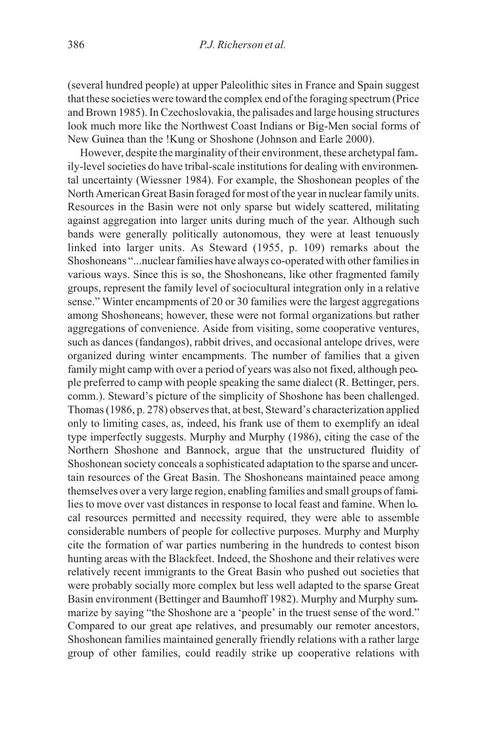(several hundred people) at upper Paleolithic sites in France and Spain suggest that these societies were toward the complex end of the foraging spectrum (Price and Brown 1985). In Czechoslovakia, the palisades and large housing structures look much more like the Northwest Coast Indians or Big-Men social forms of New Guinea than the !Kung or Shoshone (Johnson and Earle 2000).

However, despite the marginality of their environment, these archetypal family-level societies do have tribal-scale institutions for dealing with environmental uncertainty (Wiessner 1984). For example, the Shoshonean peoples of the North American Great Basin foraged for most of the year in nuclear family units. Resources in the Basin were not only sparse but widely scattered, militating against aggregation into larger units during much of the year. Although such bands were generally politically autonomous, they were at least tenuously linked into larger units. As Steward (1955, p. 109) remarks about the Shoshoneans "...nuclear families have always co-operated with other families in various ways. Since this is so, the Shoshoneans, like other fragmented family groups, represent the family level of sociocultural integration only in a relative sense." Winter encampments of 20 or 30 families were the largest aggregations among Shoshoneans; however, these were not formal organizations but rather aggregations of convenience. Aside from visiting, some cooperative ventures, such as dances (fandangos), rabbit drives, and occasional antelope drives, were organized during winter encampments. The number of families that a given family might camp with over a period of years was also not fixed, although people preferred to camp with people speaking the same dialect (R. Bettinger, pers. comm.). Steward's picture of the simplicity of Shoshone has been challenged. Thomas (1986, p. 278) observes that, at best, Steward's characterization applied only to limiting cases, as, indeed, his frank use of them to exemplify an ideal type imperfectly suggests. Murphy and Murphy (1986), citing the case of the Northern Shoshone and Bannock, argue that the unstructured fluidity of Shoshonean society conceals a sophisticated adaptation to the sparse and uncertain resources of the Great Basin. The Shoshoneans maintained peace among themselves over a very large region, enabling families and small groups of families to move over vast distances in response to local feast and famine. When local resources permitted and necessity required, they were able to assemble considerable numbers of people for collective purposes. Murphy and Murphy cite the formation of war parties numbering in the hundreds to contest bison hunting areas with the Blackfeet. Indeed, the Shoshone and their relatives were relatively recent immigrants to the Great Basin who pushed out societies that were probably socially more complex but less well adapted to the sparse Great Basin environment (Bettinger and Baumhoff 1982). Murphy and Murphy summarize by saying "the Shoshone are a 'people' in the truest sense of the word." Compared to our great ape relatives, and presumably our remoter ancestors, Shoshonean families maintained generally friendly relations with a rather large group of other families, could readily strike up cooperative relations with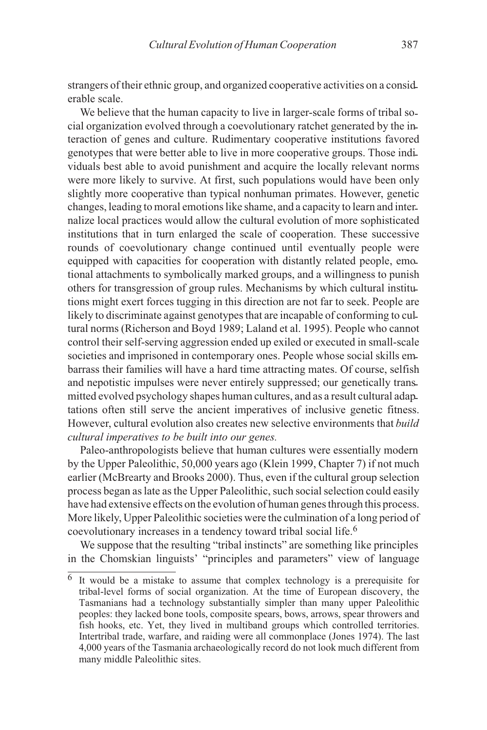strangers of their ethnic group, and organized cooperative activities on a considerable scale.

We believe that the human capacity to live in larger-scale forms of tribal social organization evolved through a coevolutionary ratchet generated by the interaction of genes and culture. Rudimentary cooperative institutions favored genotypes that were better able to live in more cooperative groups. Those individuals best able to avoid punishment and acquire the locally relevant norms were more likely to survive. At first, such populations would have been only slightly more cooperative than typical nonhuman primates. However, genetic changes, leading to moral emotions like shame, and a capacity to learn and internalize local practices would allow the cultural evolution of more sophisticated institutions that in turn enlarged the scale of cooperation. These successive rounds of coevolutionary change continued until eventually people were equipped with capacities for cooperation with distantly related people, emotional attachments to symbolically marked groups, and a willingness to punish others for transgression of group rules. Mechanisms by which cultural institutions might exert forces tugging in this direction are not far to seek. People are likely to discriminate against genotypes that are incapable of conforming to cultural norms (Richerson and Boyd 1989; Laland et al. 1995). People who cannot control their self-serving aggression ended up exiled or executed in small-scale societies and imprisoned in contemporary ones. People whose social skills embarrass their families will have a hard time attracting mates. Of course, selfish and nepotistic impulses were never entirely suppressed; our genetically transmitted evolved psychology shapes human cultures, and as a result cultural adaptations often still serve the ancient imperatives of inclusive genetic fitness. However, cultural evolution also creates new selective environments that *build cultural imperatives to be built into our genes.*

Paleo-anthropologists believe that human cultures were essentially modern by the Upper Paleolithic, 50,000 years ago (Klein 1999, Chapter 7) if not much earlier (McBrearty and Brooks 2000). Thus, even if the cultural group selection process began as late as the Upper Paleolithic, such social selection could easily have had extensive effects on the evolution of human genes through this process. More likely, Upper Paleolithic societies were the culmination of a long period of coevolutionary increases in a tendency toward tribal social life.<sup>6</sup>

We suppose that the resulting "tribal instincts" are something like principles in the Chomskian linguists' "principles and parameters" view of language

<sup>6</sup> It would be a mistake to assume that complex technology is a prerequisite for tribal-level forms of social organization. At the time of European discovery, the Tasmanians had a technology substantially simpler than many upper Paleolithic peoples: they lacked bone tools, composite spears, bows, arrows, spear throwers and fish hooks, etc. Yet, they lived in multiband groups which controlled territories. Intertribal trade, warfare, and raiding were all commonplace (Jones 1974). The last 4,000 years of the Tasmania archaeologically record do not look much different from many middle Paleolithic sites.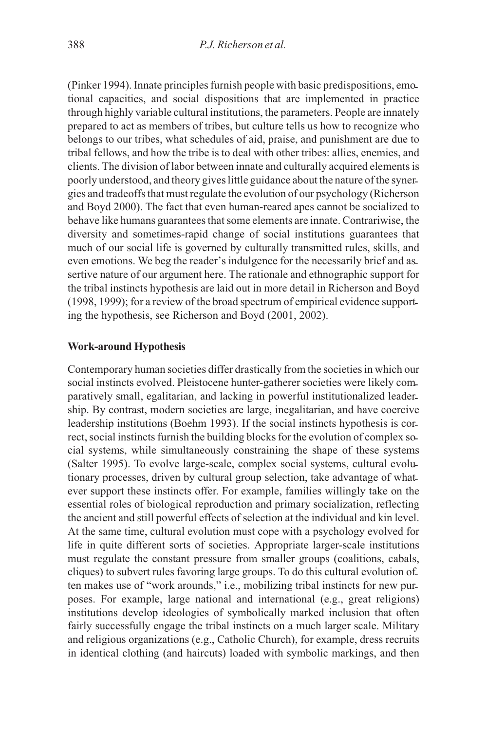(Pinker 1994). Innate principles furnish people with basic predispositions, emotional capacities, and social dispositions that are implemented in practice through highly variable cultural institutions, the parameters. People are innately prepared to act as members of tribes, but culture tells us how to recognize who belongs to our tribes, what schedules of aid, praise, and punishment are due to tribal fellows, and how the tribe is to deal with other tribes: allies, enemies, and clients. The division of labor between innate and culturally acquired elements is poorly understood, and theory gives little guidance about the nature of the synergies and tradeoffs that must regulate the evolution of our psychology (Richerson and Boyd 2000). The fact that even human-reared apes cannot be socialized to behave like humans guarantees that some elements are innate. Contrariwise, the diversity and sometimes-rapid change of social institutions guarantees that much of our social life is governed by culturally transmitted rules, skills, and even emotions. We beg the reader's indulgence for the necessarily brief and assertive nature of our argument here. The rationale and ethnographic support for the tribal instincts hypothesis are laid out in more detail in Richerson and Boyd (1998, 1999); for a review of the broad spectrum of empirical evidence supporting the hypothesis, see Richerson and Boyd (2001, 2002).

#### **Work-around Hypothesis**

Contemporary human societies differ drastically from the societies in which our social instincts evolved. Pleistocene hunter-gatherer societies were likely comparatively small, egalitarian, and lacking in powerful institutionalized leadership. By contrast, modern societies are large, inegalitarian, and have coercive leadership institutions (Boehm 1993). If the social instincts hypothesis is correct, social instincts furnish the building blocks for the evolution of complex social systems, while simultaneously constraining the shape of these systems (Salter 1995). To evolve large-scale, complex social systems, cultural evolutionary processes, driven by cultural group selection, take advantage of whatever support these instincts offer. For example, families willingly take on the essential roles of biological reproduction and primary socialization, reflecting the ancient and still powerful effects of selection at the individual and kin level. At the same time, cultural evolution must cope with a psychology evolved for life in quite different sorts of societies. Appropriate larger-scale institutions must regulate the constant pressure from smaller groups (coalitions, cabals, cliques) to subvert rules favoring large groups. To do this cultural evolution often makes use of "work arounds," i.e., mobilizing tribal instincts for new purposes. For example, large national and international (e.g., great religions) institutions develop ideologies of symbolically marked inclusion that often fairly successfully engage the tribal instincts on a much larger scale. Military and religious organizations (e.g., Catholic Church), for example, dress recruits in identical clothing (and haircuts) loaded with symbolic markings, and then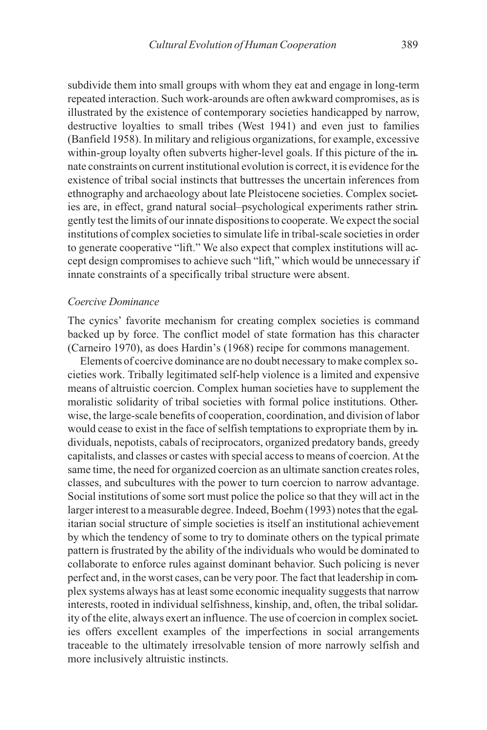subdivide them into small groups with whom they eat and engage in long-term repeated interaction. Such work-arounds are often awkward compromises, as is illustrated by the existence of contemporary societies handicapped by narrow, destructive loyalties to small tribes (West 1941) and even just to families (Banfield 1958). In military and religious organizations, for example, excessive within-group loyalty often subverts higher-level goals. If this picture of the innate constraints on current institutional evolution is correct, it is evidence for the existence of tribal social instincts that buttresses the uncertain inferences from ethnography and archaeology about late Pleistocene societies. Complex societies are, in effect, grand natural social–psychological experiments rather stringently test the limits of our innate dispositions to cooperate. We expect the social institutions of complex societies to simulate life in tribal-scale societies in order to generate cooperative "lift." We also expect that complex institutions will accept design compromises to achieve such "lift," which would be unnecessary if innate constraints of a specifically tribal structure were absent.

#### *Coercive Dominance*

The cynics' favorite mechanism for creating complex societies is command backed up by force. The conflict model of state formation has this character (Carneiro 1970), as does Hardin's (1968) recipe for commons management.

Elements of coercive dominance are no doubt necessary to make complex societies work. Tribally legitimated self-help violence is a limited and expensive means of altruistic coercion. Complex human societies have to supplement the moralistic solidarity of tribal societies with formal police institutions. Otherwise, the large-scale benefits of cooperation, coordination, and division of labor would cease to exist in the face of selfish temptations to expropriate them by individuals, nepotists, cabals of reciprocators, organized predatory bands, greedy capitalists, and classes or castes with special access to means of coercion. At the same time, the need for organized coercion as an ultimate sanction creates roles, classes, and subcultures with the power to turn coercion to narrow advantage. Social institutions of some sort must police the police so that they will act in the larger interest to a measurable degree. Indeed, Boehm (1993) notes that the egalitarian social structure of simple societies is itself an institutional achievement by which the tendency of some to try to dominate others on the typical primate pattern is frustrated by the ability of the individuals who would be dominated to collaborate to enforce rules against dominant behavior. Such policing is never perfect and, in the worst cases, can be very poor. The fact that leadership in complex systems always has at least some economic inequality suggests that narrow interests, rooted in individual selfishness, kinship, and, often, the tribal solidarity of the elite, always exert an influence. The use of coercion in complex societies offers excellent examples of the imperfections in social arrangements traceable to the ultimately irresolvable tension of more narrowly selfish and more inclusively altruistic instincts.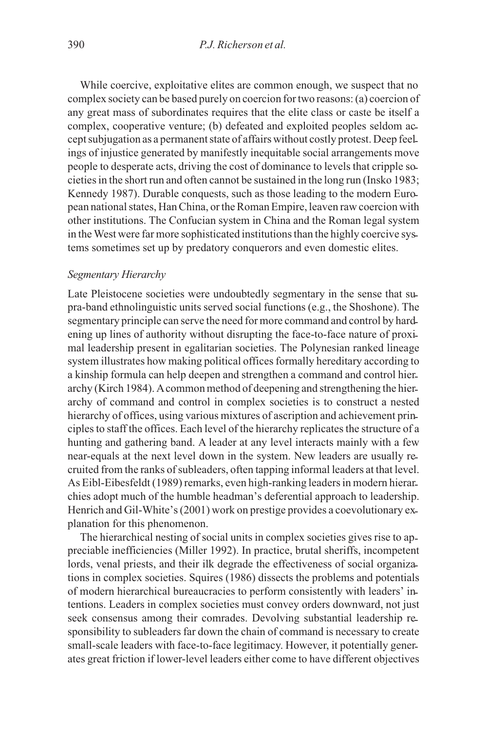While coercive, exploitative elites are common enough, we suspect that no complex society can be based purely on coercion for two reasons: (a) coercion of any great mass of subordinates requires that the elite class or caste be itself a complex, cooperative venture; (b) defeated and exploited peoples seldom accept subjugation as a permanent state of affairs without costly protest. Deep feelings of injustice generated by manifestly inequitable social arrangements move people to desperate acts, driving the cost of dominance to levels that cripple societies in the short run and often cannot be sustained in the long run (Insko 1983; Kennedy 1987). Durable conquests, such as those leading to the modern European national states, Han China, or the Roman Empire, leaven raw coercion with other institutions. The Confucian system in China and the Roman legal system in the West were far more sophisticated institutions than the highly coercive systems sometimes set up by predatory conquerors and even domestic elites.

#### *Segmentary Hierarchy*

Late Pleistocene societies were undoubtedly segmentary in the sense that supra-band ethnolinguistic units served social functions (e.g., the Shoshone). The segmentary principle can serve the need for more command and control by hardening up lines of authority without disrupting the face-to-face nature of proximal leadership present in egalitarian societies. The Polynesian ranked lineage system illustrates how making political offices formally hereditary according to a kinship formula can help deepen and strengthen a command and control hierarchy (Kirch 1984). Acommon method of deepening and strengthening the hierarchy of command and control in complex societies is to construct a nested hierarchy of offices, using various mixtures of ascription and achievement principles to staff the offices. Each level of the hierarchy replicates the structure of a hunting and gathering band. A leader at any level interacts mainly with a few near-equals at the next level down in the system. New leaders are usually recruited from the ranks of subleaders, often tapping informal leaders at that level. As Eibl-Eibesfeldt (1989) remarks, even high-ranking leaders in modern hierarchies adopt much of the humble headman's deferential approach to leadership. Henrich and Gil-White's (2001) work on prestige provides a coevolutionary explanation for this phenomenon.

The hierarchical nesting of social units in complex societies gives rise to appreciable inefficiencies (Miller 1992). In practice, brutal sheriffs, incompetent lords, venal priests, and their ilk degrade the effectiveness of social organizations in complex societies. Squires (1986) dissects the problems and potentials of modern hierarchical bureaucracies to perform consistently with leaders' intentions. Leaders in complex societies must convey orders downward, not just seek consensus among their comrades. Devolving substantial leadership responsibility to subleaders far down the chain of command is necessary to create small-scale leaders with face-to-face legitimacy. However, it potentially generates great friction if lower-level leaders either come to have different objectives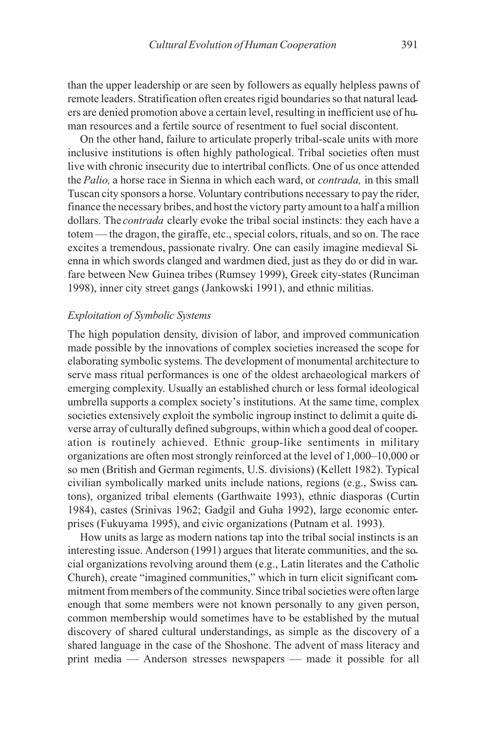than the upper leadership or are seen by followers as equally helpless pawns of remote leaders. Stratification often creates rigid boundaries so that natural leaders are denied promotion above a certain level, resulting in inefficient use of human resources and a fertile source of resentment to fuel social discontent.

On the other hand, failure to articulate properly tribal-scale units with more inclusive institutions is often highly pathological. Tribal societies often must live with chronic insecurity due to intertribal conflicts. One of us once attended the *Palio,* a horse race in Sienna in which each ward, or *contrada,* in this small Tuscan city sponsors a horse. Voluntary contributions necessary to pay the rider, finance the necessary bribes, and host the victory party amount to a half a million dollars. The *contrada* clearly evoke the tribal social instincts: they each have a totem — the dragon, the giraffe, etc., special colors, rituals, and so on. The race excites a tremendous, passionate rivalry. One can easily imagine medieval Sienna in which swords clanged and wardmen died, just as they do or did in warfare between New Guinea tribes (Rumsey 1999), Greek city-states (Runciman 1998), inner city street gangs (Jankowski 1991), and ethnic militias.

## *Exploitation of Symbolic Systems*

The high population density, division of labor, and improved communication made possible by the innovations of complex societies increased the scope for elaborating symbolic systems. The development of monumental architecture to serve mass ritual performances is one of the oldest archaeological markers of emerging complexity. Usually an established church or less formal ideological umbrella supports a complex society's institutions. At the same time, complex societies extensively exploit the symbolic ingroup instinct to delimit a quite diverse array of culturally defined subgroups, within which a good deal of cooperation is routinely achieved. Ethnic group-like sentiments in military organizations are often most strongly reinforced at the level of 1,000–10,000 or so men (British and German regiments, U.S. divisions) (Kellett 1982). Typical civilian symbolically marked units include nations, regions (e.g., Swiss cantons), organized tribal elements (Garthwaite 1993), ethnic diasporas (Curtin 1984), castes (Srinivas 1962; Gadgil and Guha 1992), large economic enterprises (Fukuyama 1995), and civic organizations (Putnam et al. 1993).

How units as large as modern nations tap into the tribal social instincts is an interesting issue. Anderson (1991) argues that literate communities, and the social organizations revolving around them (e.g., Latin literates and the Catholic Church), create "imagined communities," which in turn elicit significant commitment from members of the community. Since tribal societies were often large enough that some members were not known personally to any given person, common membership would sometimes have to be established by the mutual discovery of shared cultural understandings, as simple as the discovery of a shared language in the case of the Shoshone. The advent of mass literacy and print media — Anderson stresses newspapers — made it possible for all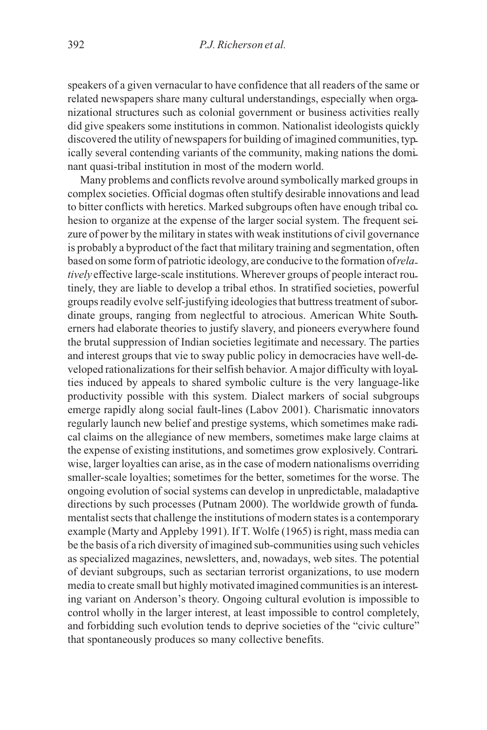speakers of a given vernacular to have confidence that all readers of the same or related newspapers share many cultural understandings, especially when organizational structures such as colonial government or business activities really did give speakers some institutions in common. Nationalist ideologists quickly discovered the utility of newspapers for building of imagined communities, typically several contending variants of the community, making nations the dominant quasi-tribal institution in most of the modern world.

Many problems and conflicts revolve around symbolically marked groups in complex societies. Official dogmas often stultify desirable innovations and lead to bitter conflicts with heretics. Marked subgroups often have enough tribal cohesion to organize at the expense of the larger social system. The frequent seizure of power by the military in states with weak institutions of civil governance is probably a byproduct of the fact that military training and segmentation, often based on some form of patriotic ideology, are conducive to the formation of*relatively* effective large-scale institutions. Wherever groups of people interact routinely, they are liable to develop a tribal ethos. In stratified societies, powerful groups readily evolve self-justifying ideologies that buttress treatment of subordinate groups, ranging from neglectful to atrocious. American White Southerners had elaborate theories to justify slavery, and pioneers everywhere found the brutal suppression of Indian societies legitimate and necessary. The parties and interest groups that vie to sway public policy in democracies have well-developed rationalizations for their selfish behavior. Amajor difficulty with loyalties induced by appeals to shared symbolic culture is the very language-like productivity possible with this system. Dialect markers of social subgroups emerge rapidly along social fault-lines (Labov 2001). Charismatic innovators regularly launch new belief and prestige systems, which sometimes make radical claims on the allegiance of new members, sometimes make large claims at the expense of existing institutions, and sometimes grow explosively. Contrariwise, larger loyalties can arise, as in the case of modern nationalisms overriding smaller-scale loyalties; sometimes for the better, sometimes for the worse. The ongoing evolution of social systems can develop in unpredictable, maladaptive directions by such processes (Putnam 2000). The worldwide growth of fundamentalist sects that challenge the institutions of modern states is a contemporary example (Marty and Appleby 1991). If T. Wolfe (1965) is right, mass media can be the basis of a rich diversity of imagined sub-communities using such vehicles as specialized magazines, newsletters, and, nowadays, web sites. The potential of deviant subgroups, such as sectarian terrorist organizations, to use modern media to create small but highly motivated imagined communities is an interesting variant on Anderson's theory. Ongoing cultural evolution is impossible to control wholly in the larger interest, at least impossible to control completely, and forbidding such evolution tends to deprive societies of the "civic culture" that spontaneously produces so many collective benefits.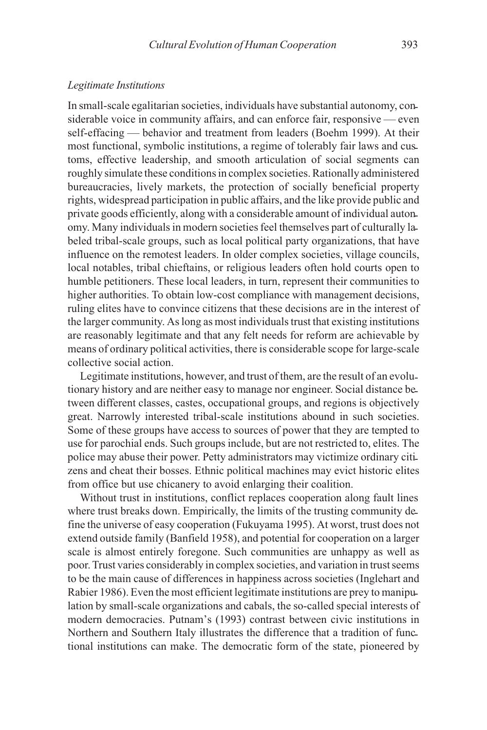#### *Legitimate Institutions*

In small-scale egalitarian societies, individuals have substantial autonomy, considerable voice in community affairs, and can enforce fair, responsive — even self-effacing — behavior and treatment from leaders (Boehm 1999). At their most functional, symbolic institutions, a regime of tolerably fair laws and customs, effective leadership, and smooth articulation of social segments can roughly simulate these conditions in complex societies. Rationally administered bureaucracies, lively markets, the protection of socially beneficial property rights, widespread participation in public affairs, and the like provide public and private goods efficiently, along with a considerable amount of individual autonomy. Many individuals in modern societies feel themselves part of culturally labeled tribal-scale groups, such as local political party organizations, that have influence on the remotest leaders. In older complex societies, village councils, local notables, tribal chieftains, or religious leaders often hold courts open to humble petitioners. These local leaders, in turn, represent their communities to higher authorities. To obtain low-cost compliance with management decisions, ruling elites have to convince citizens that these decisions are in the interest of the larger community. As long as most individuals trust that existing institutions are reasonably legitimate and that any felt needs for reform are achievable by means of ordinary political activities, there is considerable scope for large-scale collective social action.

Legitimate institutions, however, and trust of them, are the result of an evolutionary history and are neither easy to manage nor engineer. Social distance between different classes, castes, occupational groups, and regions is objectively great. Narrowly interested tribal-scale institutions abound in such societies. Some of these groups have access to sources of power that they are tempted to use for parochial ends. Such groups include, but are not restricted to, elites. The police may abuse their power. Petty administrators may victimize ordinary citizens and cheat their bosses. Ethnic political machines may evict historic elites from office but use chicanery to avoid enlarging their coalition.

Without trust in institutions, conflict replaces cooperation along fault lines where trust breaks down. Empirically, the limits of the trusting community define the universe of easy cooperation (Fukuyama 1995). At worst, trust does not extend outside family (Banfield 1958), and potential for cooperation on a larger scale is almost entirely foregone. Such communities are unhappy as well as poor. Trust varies considerably in complex societies, and variation in trust seems to be the main cause of differences in happiness across societies (Inglehart and Rabier 1986). Even the most efficient legitimate institutions are prey to manipulation by small-scale organizations and cabals, the so-called special interests of modern democracies. Putnam's (1993) contrast between civic institutions in Northern and Southern Italy illustrates the difference that a tradition of functional institutions can make. The democratic form of the state, pioneered by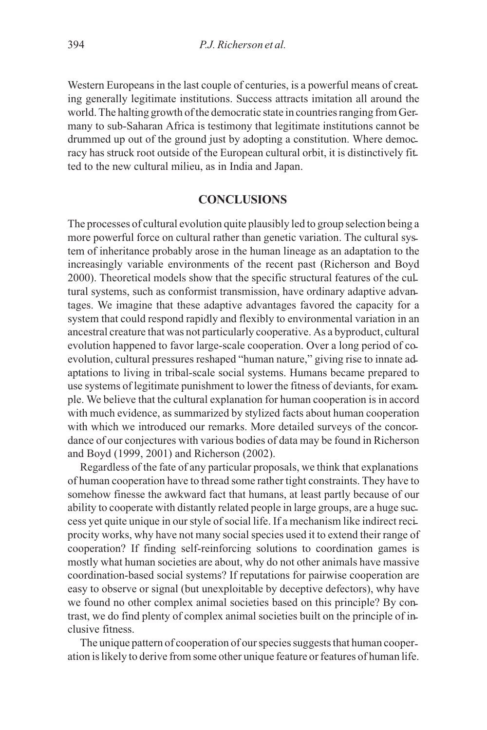Western Europeans in the last couple of centuries, is a powerful means of creating generally legitimate institutions. Success attracts imitation all around the world. The halting growth of the democratic state in countries ranging from Germany to sub-Saharan Africa is testimony that legitimate institutions cannot be drummed up out of the ground just by adopting a constitution. Where democracy has struck root outside of the European cultural orbit, it is distinctively fitted to the new cultural milieu, as in India and Japan.

## **CONCLUSIONS**

The processes of cultural evolution quite plausibly led to group selection being a more powerful force on cultural rather than genetic variation. The cultural system of inheritance probably arose in the human lineage as an adaptation to the increasingly variable environments of the recent past (Richerson and Boyd 2000). Theoretical models show that the specific structural features of the cultural systems, such as conformist transmission, have ordinary adaptive advantages. We imagine that these adaptive advantages favored the capacity for a system that could respond rapidly and flexibly to environmental variation in an ancestral creature that was not particularly cooperative. As a byproduct, cultural evolution happened to favor large-scale cooperation. Over a long period of coevolution, cultural pressures reshaped "human nature," giving rise to innate adaptations to living in tribal-scale social systems. Humans became prepared to use systems of legitimate punishment to lower the fitness of deviants, for example. We believe that the cultural explanation for human cooperation is in accord with much evidence, as summarized by stylized facts about human cooperation with which we introduced our remarks. More detailed surveys of the concordance of our conjectures with various bodies of data may be found in Richerson and Boyd (1999, 2001) and Richerson (2002).

Regardless of the fate of any particular proposals, we think that explanations of human cooperation have to thread some rather tight constraints. They have to somehow finesse the awkward fact that humans, at least partly because of our ability to cooperate with distantly related people in large groups, are a huge success yet quite unique in our style of social life. If a mechanism like indirect reciprocity works, why have not many social species used it to extend their range of cooperation? If finding self-reinforcing solutions to coordination games is mostly what human societies are about, why do not other animals have massive coordination-based social systems? If reputations for pairwise cooperation are easy to observe or signal (but unexploitable by deceptive defectors), why have we found no other complex animal societies based on this principle? By contrast, we do find plenty of complex animal societies built on the principle of inclusive fitness.

The unique pattern of cooperation of our species suggests that human cooperation is likely to derive from some other unique feature or features of human life.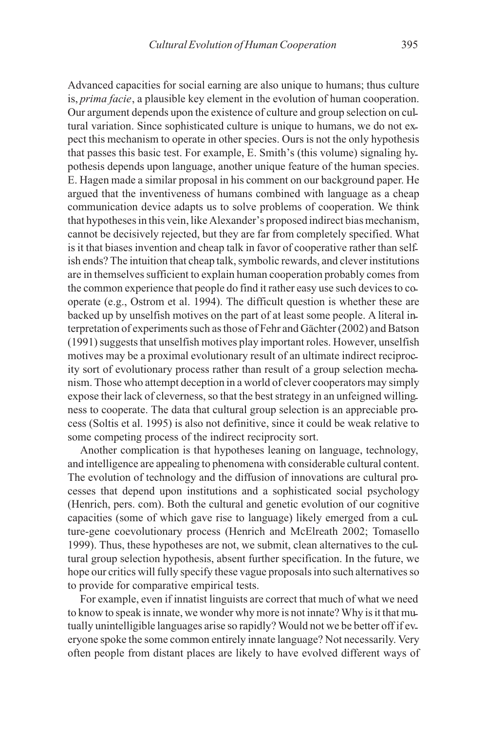Advanced capacities for social earning are also unique to humans; thus culture is, *prima facie*, a plausible key element in the evolution of human cooperation. Our argument depends upon the existence of culture and group selection on cultural variation. Since sophisticated culture is unique to humans, we do not expect this mechanism to operate in other species. Ours is not the only hypothesis that passes this basic test. For example, E. Smith's (this volume) signaling hypothesis depends upon language, another unique feature of the human species. E. Hagen made a similar proposal in his comment on our background paper. He argued that the inventiveness of humans combined with language as a cheap communication device adapts us to solve problems of cooperation. We think that hypotheses in this vein, like Alexander's proposed indirect bias mechanism, cannot be decisively rejected, but they are far from completely specified. What is it that biases invention and cheap talk in favor of cooperative rather than selfish ends? The intuition that cheap talk, symbolic rewards, and clever institutions are in themselves sufficient to explain human cooperation probably comes from the common experience that people do find it rather easy use such devices to cooperate (e.g., Ostrom et al. 1994). The difficult question is whether these are backed up by unselfish motives on the part of at least some people. A literal interpretation of experiments such as those of Fehr and Gächter (2002) and Batson (1991) suggests that unselfish motives play important roles. However, unselfish motives may be a proximal evolutionary result of an ultimate indirect reciprocity sort of evolutionary process rather than result of a group selection mechanism. Those who attempt deception in a world of clever cooperators may simply expose their lack of cleverness, so that the best strategy in an unfeigned willingness to cooperate. The data that cultural group selection is an appreciable process (Soltis et al. 1995) is also not definitive, since it could be weak relative to some competing process of the indirect reciprocity sort.

Another complication is that hypotheses leaning on language, technology, and intelligence are appealing to phenomena with considerable cultural content. The evolution of technology and the diffusion of innovations are cultural processes that depend upon institutions and a sophisticated social psychology (Henrich, pers. com). Both the cultural and genetic evolution of our cognitive capacities (some of which gave rise to language) likely emerged from a culture-gene coevolutionary process (Henrich and McElreath 2002; Tomasello 1999). Thus, these hypotheses are not, we submit, clean alternatives to the cultural group selection hypothesis, absent further specification. In the future, we hope our critics will fully specify these vague proposals into such alternatives so to provide for comparative empirical tests.

For example, even if innatist linguists are correct that much of what we need to know to speak is innate, we wonder why more is not innate? Why is it that mutually unintelligible languages arise so rapidly? Would not we be better off if everyone spoke the some common entirely innate language? Not necessarily. Very often people from distant places are likely to have evolved different ways of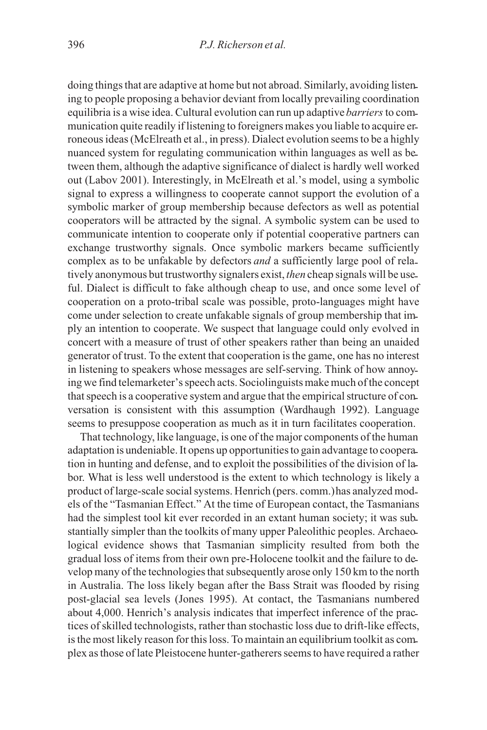doing things that are adaptive at home but not abroad. Similarly, avoiding listening to people proposing a behavior deviant from locally prevailing coordination equilibria is a wise idea. Cultural evolution can run up adaptive *barriers*to communication quite readily if listening to foreigners makes you liable to acquire erroneous ideas (McElreath et al., in press). Dialect evolution seems to be a highly nuanced system for regulating communication within languages as well as between them, although the adaptive significance of dialect is hardly well worked out (Labov 2001). Interestingly, in McElreath et al.'s model, using a symbolic signal to express a willingness to cooperate cannot support the evolution of a symbolic marker of group membership because defectors as well as potential cooperators will be attracted by the signal. A symbolic system can be used to communicate intention to cooperate only if potential cooperative partners can exchange trustworthy signals. Once symbolic markers became sufficiently complex as to be unfakable by defectors *and* a sufficiently large pool of relatively anonymous but trustworthy signalers exist, *then* cheap signals will be useful. Dialect is difficult to fake although cheap to use, and once some level of cooperation on a proto-tribal scale was possible, proto-languages might have come under selection to create unfakable signals of group membership that imply an intention to cooperate. We suspect that language could only evolved in concert with a measure of trust of other speakers rather than being an unaided generator of trust. To the extent that cooperation is the game, one has no interest in listening to speakers whose messages are self-serving. Think of how annoying we find telemarketer's speech acts. Sociolinguists make much of the concept that speech is a cooperative system and argue that the empirical structure of conversation is consistent with this assumption (Wardhaugh 1992). Language seems to presuppose cooperation as much as it in turn facilitates cooperation.

That technology, like language, is one of the major components of the human adaptation is undeniable. It opens up opportunities to gain advantage to cooperation in hunting and defense, and to exploit the possibilities of the division of labor. What is less well understood is the extent to which technology is likely a product of large-scale social systems. Henrich (pers. comm.)has analyzed models of the "Tasmanian Effect." At the time of European contact, the Tasmanians had the simplest tool kit ever recorded in an extant human society; it was substantially simpler than the toolkits of many upper Paleolithic peoples. Archaeological evidence shows that Tasmanian simplicity resulted from both the gradual loss of items from their own pre-Holocene toolkit and the failure to develop many of the technologies that subsequently arose only 150 km to the north in Australia. The loss likely began after the Bass Strait was flooded by rising post-glacial sea levels (Jones 1995). At contact, the Tasmanians numbered about 4,000. Henrich's analysis indicates that imperfect inference of the practices of skilled technologists, rather than stochastic loss due to drift-like effects, is the most likely reason for this loss. To maintain an equilibrium toolkit as complex as those of late Pleistocene hunter-gatherers seems to have required a rather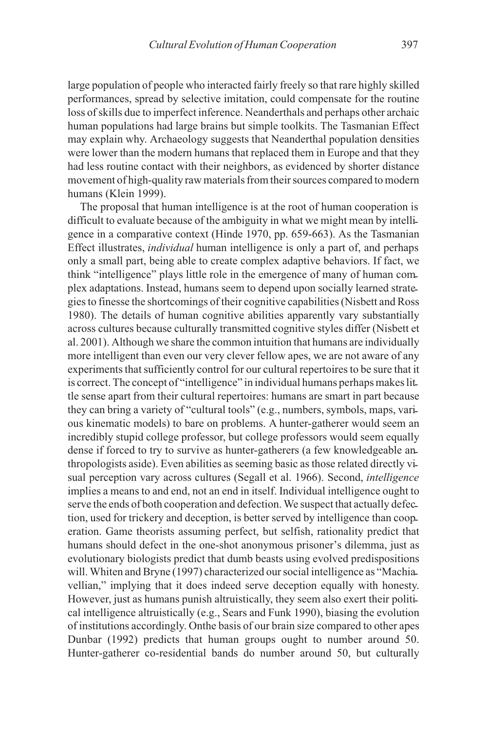large population of people who interacted fairly freely so that rare highly skilled performances, spread by selective imitation, could compensate for the routine loss of skills due to imperfect inference. Neanderthals and perhaps other archaic human populations had large brains but simple toolkits. The Tasmanian Effect may explain why. Archaeology suggests that Neanderthal population densities were lower than the modern humans that replaced them in Europe and that they had less routine contact with their neighbors, as evidenced by shorter distance movement of high-quality raw materials from their sources compared to modern humans (Klein 1999).

The proposal that human intelligence is at the root of human cooperation is difficult to evaluate because of the ambiguity in what we might mean by intelligence in a comparative context (Hinde 1970, pp. 659-663). As the Tasmanian Effect illustrates, *individual* human intelligence is only a part of, and perhaps only a small part, being able to create complex adaptive behaviors. If fact, we think "intelligence" plays little role in the emergence of many of human complex adaptations. Instead, humans seem to depend upon socially learned strategies to finesse the shortcomings of their cognitive capabilities (Nisbett and Ross 1980). The details of human cognitive abilities apparently vary substantially across cultures because culturally transmitted cognitive styles differ (Nisbett et al. 2001). Although we share the common intuition that humans are individually more intelligent than even our very clever fellow apes, we are not aware of any experiments that sufficiently control for our cultural repertoires to be sure that it is correct. The concept of "intelligence" in individual humans perhaps makes little sense apart from their cultural repertoires: humans are smart in part because they can bring a variety of "cultural tools" (e.g., numbers, symbols, maps, various kinematic models) to bare on problems. A hunter-gatherer would seem an incredibly stupid college professor, but college professors would seem equally dense if forced to try to survive as hunter-gatherers (a few knowledgeable anthropologists aside). Even abilities as seeming basic as those related directly visual perception vary across cultures (Segall et al. 1966). Second, *intelligence* implies a means to and end, not an end in itself. Individual intelligence ought to serve the ends of both cooperation and defection. We suspect that actually defection, used for trickery and deception, is better served by intelligence than cooperation. Game theorists assuming perfect, but selfish, rationality predict that humans should defect in the one-shot anonymous prisoner's dilemma, just as evolutionary biologists predict that dumb beasts using evolved predispositions will. Whiten and Bryne (1997) characterized our social intelligence as "Machiavellian," implying that it does indeed serve deception equally with honesty. However, just as humans punish altruistically, they seem also exert their political intelligence altruistically (e.g., Sears and Funk 1990), biasing the evolution of institutions accordingly. Onthe basis of our brain size compared to other apes Dunbar (1992) predicts that human groups ought to number around 50. Hunter-gatherer co-residential bands do number around 50, but culturally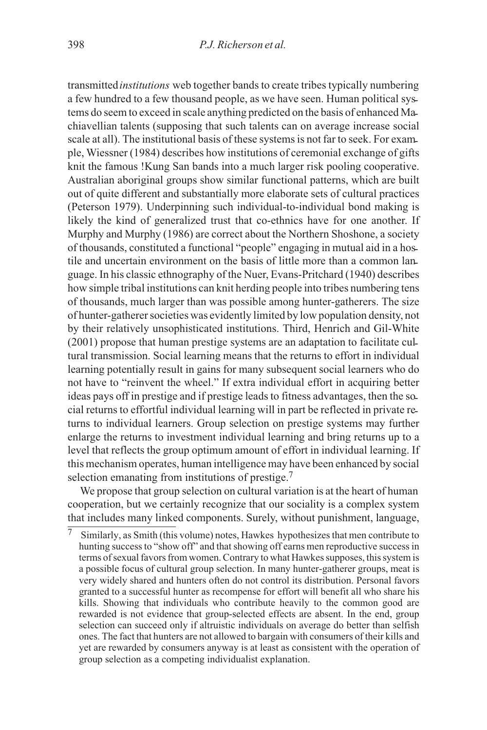transmitted*institutions* web together bands to create tribes typically numbering a few hundred to a few thousand people, as we have seen. Human political systems do seem to exceed in scale anything predicted on the basis of enhanced Machiavellian talents (supposing that such talents can on average increase social scale at all). The institutional basis of these systems is not far to seek. For example, Wiessner (1984) describes how institutions of ceremonial exchange of gifts knit the famous !Kung San bands into a much larger risk pooling cooperative. Australian aboriginal groups show similar functional patterns, which are built out of quite different and substantially more elaborate sets of cultural practices (Peterson 1979). Underpinning such individual-to-individual bond making is likely the kind of generalized trust that co-ethnics have for one another. If Murphy and Murphy (1986) are correct about the Northern Shoshone, a society of thousands, constituted a functional "people" engaging in mutual aid in a hostile and uncertain environment on the basis of little more than a common language. In his classic ethnography of the Nuer, Evans-Pritchard (1940) describes how simple tribal institutions can knit herding people into tribes numbering tens of thousands, much larger than was possible among hunter-gatherers. The size of hunter-gatherer societies was evidently limited by low population density, not by their relatively unsophisticated institutions. Third, Henrich and Gil-White (2001) propose that human prestige systems are an adaptation to facilitate cultural transmission. Social learning means that the returns to effort in individual learning potentially result in gains for many subsequent social learners who do not have to "reinvent the wheel." If extra individual effort in acquiring better ideas pays off in prestige and if prestige leads to fitness advantages, then the social returns to effortful individual learning will in part be reflected in private returns to individual learners. Group selection on prestige systems may further enlarge the returns to investment individual learning and bring returns up to a level that reflects the group optimum amount of effort in individual learning. If this mechanism operates, human intelligence may have been enhanced by social selection emanating from institutions of prestige.<sup>7</sup>

We propose that group selection on cultural variation is at the heart of human cooperation, but we certainly recognize that our sociality is a complex system that includes many linked components. Surely, without punishment, language,

<sup>7</sup> Similarly, as Smith (this volume) notes, Hawkes hypothesizes that men contribute to hunting success to "show off" and that showing off earns men reproductive success in terms of sexual favors from women. Contrary to what Hawkes supposes, this system is a possible focus of cultural group selection. In many hunter-gatherer groups, meat is very widely shared and hunters often do not control its distribution. Personal favors granted to a successful hunter as recompense for effort will benefit all who share his kills. Showing that individuals who contribute heavily to the common good are rewarded is not evidence that group-selected effects are absent. In the end, group selection can succeed only if altruistic individuals on average do better than selfish ones. The fact that hunters are not allowed to bargain with consumers of their kills and yet are rewarded by consumers anyway is at least as consistent with the operation of group selection as a competing individualist explanation.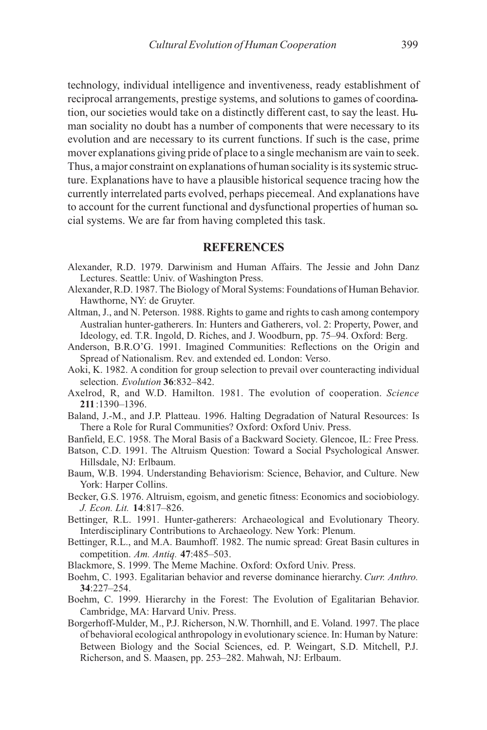technology, individual intelligence and inventiveness, ready establishment of reciprocal arrangements, prestige systems, and solutions to games of coordination, our societies would take on a distinctly different cast, to say the least. Human sociality no doubt has a number of components that were necessary to its evolution and are necessary to its current functions. If such is the case, prime mover explanations giving pride of place to a single mechanism are vain to seek. Thus, a major constraint on explanations of human sociality is its systemic structure. Explanations have to have a plausible historical sequence tracing how the currently interrelated parts evolved, perhaps piecemeal. And explanations have to account for the current functional and dysfunctional properties of human social systems. We are far from having completed this task.

## **REFERENCES**

- Alexander, R.D. 1979. Darwinism and Human Affairs. The Jessie and John Danz Lectures. Seattle: Univ. of Washington Press.
- Alexander, R.D. 1987. The Biology of Moral Systems: Foundations of Human Behavior. Hawthorne, NY: de Gruyter.
- Altman, J., and N. Peterson. 1988. Rights to game and rights to cash among contempory Australian hunter-gatherers. In: Hunters and Gatherers, vol. 2: Property, Power, and Ideology, ed. T.R. Ingold, D. Riches, and J. Woodburn, pp. 75–94. Oxford: Berg.
- Anderson, B.R.O'G. 1991. Imagined Communities: Reflections on the Origin and Spread of Nationalism. Rev. and extended ed. London: Verso.
- Aoki, K. 1982. A condition for group selection to prevail over counteracting individual selection. *Evolution* **36**:832–842.
- Axelrod, R, and W.D. Hamilton. 1981. The evolution of cooperation. *Science* **211**:1390–1396.
- Baland, J.-M., and J.P. Platteau. 1996. Halting Degradation of Natural Resources: Is There a Role for Rural Communities? Oxford: Oxford Univ. Press.
- Banfield, E.C. 1958. The Moral Basis of a Backward Society. Glencoe, IL: Free Press.
- Batson, C.D. 1991. The Altruism Question: Toward a Social Psychological Answer. Hillsdale, NJ: Erlbaum.
- Baum, W.B. 1994. Understanding Behaviorism: Science, Behavior, and Culture. New York: Harper Collins.
- Becker, G.S. 1976. Altruism, egoism, and genetic fitness: Economics and sociobiology. *J. Econ. Lit.* **14**:817–826.
- Bettinger, R.L. 1991. Hunter-gatherers: Archaeological and Evolutionary Theory. Interdisciplinary Contributions to Archaeology. New York: Plenum.
- Bettinger, R.L., and M.A. Baumhoff. 1982. The numic spread: Great Basin cultures in competition. *Am. Antiq.* **47**:485–503.
- Blackmore, S. 1999. The Meme Machine. Oxford: Oxford Univ. Press.
- Boehm, C. 1993. Egalitarian behavior and reverse dominance hierarchy. *Curr. Anthro.* **34**:227–254.
- Boehm, C. 1999. Hierarchy in the Forest: The Evolution of Egalitarian Behavior. Cambridge, MA: Harvard Univ. Press.
- Borgerhoff-Mulder, M., P.J. Richerson, N.W. Thornhill, and E. Voland. 1997. The place of behavioral ecological anthropology in evolutionary science. In: Human by Nature: Between Biology and the Social Sciences, ed. P. Weingart, S.D. Mitchell, P.J. Richerson, and S. Maasen, pp. 253–282. Mahwah, NJ: Erlbaum.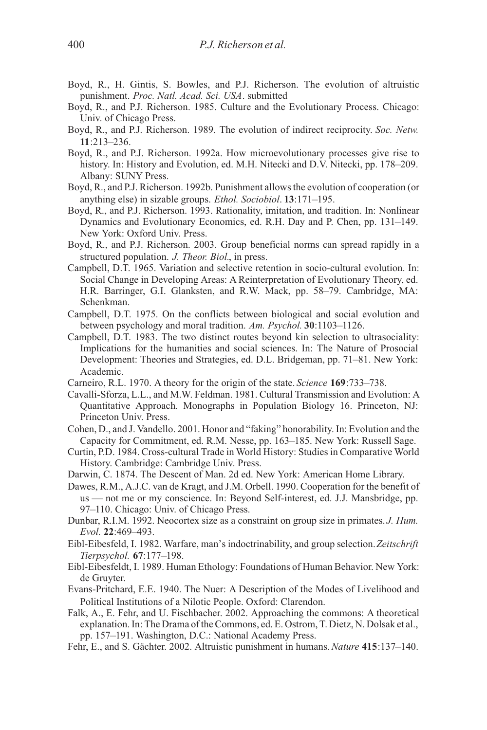- Boyd, R., H. Gintis, S. Bowles, and P.J. Richerson. The evolution of altruistic punishment. *Proc. Natl. Acad. Sci. USA*. submitted
- Boyd, R., and P.J. Richerson. 1985. Culture and the Evolutionary Process. Chicago: Univ. of Chicago Press.
- Boyd, R., and P.J. Richerson. 1989. The evolution of indirect reciprocity. *Soc. Netw.* **11**:213–236.
- Boyd, R., and P.J. Richerson. 1992a. How microevolutionary processes give rise to history. In: History and Evolution, ed. M.H. Nitecki and D.V. Nitecki, pp. 178–209. Albany: SUNY Press.
- Boyd, R., and P.J. Richerson. 1992b. Punishment allows the evolution of cooperation (or anything else) in sizable groups. *Ethol. Sociobiol*. **13**:171–195.
- Boyd, R., and P.J. Richerson. 1993. Rationality, imitation, and tradition. In: Nonlinear Dynamics and Evolutionary Economics, ed. R.H. Day and P. Chen, pp. 131–149. New York: Oxford Univ. Press.
- Boyd, R., and P.J. Richerson. 2003. Group beneficial norms can spread rapidly in a structured population. *J. Theor. Biol.*, in press.
- Campbell, D.T. 1965. Variation and selective retention in socio-cultural evolution. In: Social Change in Developing Areas: A Reinterpretation of Evolutionary Theory, ed. H.R. Barringer, G.I. Glanksten, and R.W. Mack, pp. 58–79. Cambridge, MA: Schenkman.
- Campbell, D.T. 1975. On the conflicts between biological and social evolution and between psychology and moral tradition. *Am. Psychol.* **30**:1103–1126.
- Campbell, D.T. 1983. The two distinct routes beyond kin selection to ultrasociality: Implications for the humanities and social sciences. In: The Nature of Prosocial Development: Theories and Strategies, ed. D.L. Bridgeman, pp. 71–81. New York: Academic.
- Carneiro, R.L. 1970. A theory for the origin of the state. *Science* **169**:733–738.
- Cavalli-Sforza, L.L., and M.W. Feldman. 1981. Cultural Transmission and Evolution: A Quantitative Approach. Monographs in Population Biology 16. Princeton, NJ: Princeton Univ. Press.
- Cohen, D., and J. Vandello. 2001. Honor and "faking" honorability. In: Evolution and the Capacity for Commitment, ed. R.M. Nesse, pp. 163–185. New York: Russell Sage.
- Curtin, P.D. 1984. Cross-cultural Trade in World History: Studies in Comparative World History. Cambridge: Cambridge Univ. Press.
- Darwin, C. 1874. The Descent of Man. 2d ed. New York: American Home Library.
- Dawes, R.M., A.J.C. van de Kragt, and J.M. Orbell. 1990. Cooperation for the benefit of us — not me or my conscience. In: Beyond Self-interest, ed. J.J. Mansbridge, pp. 97–110. Chicago: Univ. of Chicago Press.
- Dunbar, R.I.M. 1992. Neocortex size as a constraint on group size in primates. *J. Hum. Evol.* **22**:469–493.
- Eibl-Eibesfeld, I. 1982. Warfare, man's indoctrinability, and group selection.*Zeitschrift Tierpsychol.* **67**:177–198.
- Eibl-Eibesfeldt, I. 1989. Human Ethology: Foundations of Human Behavior. New York: de Gruyter.
- Evans-Pritchard, E.E. 1940. The Nuer: A Description of the Modes of Livelihood and Political Institutions of a Nilotic People. Oxford: Clarendon.
- Falk, A., E. Fehr, and U. Fischbacher. 2002. Approaching the commons: A theoretical explanation. In: The Drama of the Commons, ed. E. Ostrom, T. Dietz, N. Dolsak et al., pp. 157–191. Washington, D.C.: National Academy Press.
- Fehr, E., and S. Gächter. 2002. Altruistic punishment in humans.*Nature* **415**:137–140.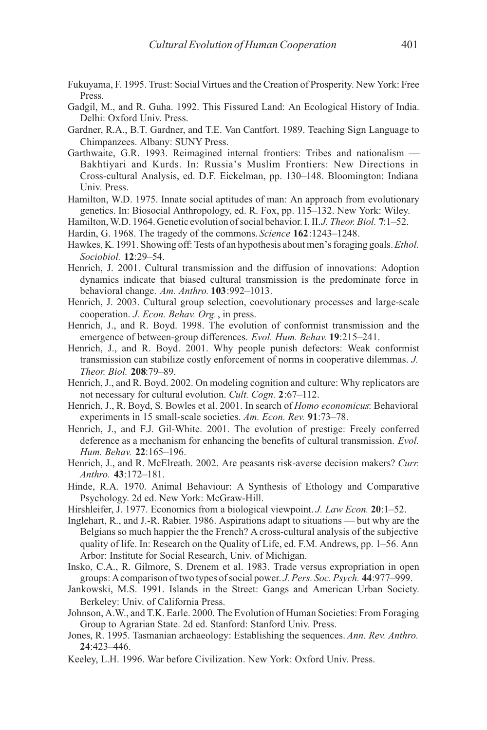- Fukuyama, F. 1995. Trust: Social Virtues and the Creation of Prosperity. New York: Free Press.
- Gadgil, M., and R. Guha. 1992. This Fissured Land: An Ecological History of India. Delhi: Oxford Univ. Press.
- Gardner, R.A., B.T. Gardner, and T.E. Van Cantfort. 1989. Teaching Sign Language to Chimpanzees. Albany: SUNY Press.
- Garthwaite, G.R. 1993. Reimagined internal frontiers: Tribes and nationalism Bakhtiyari and Kurds. In: Russia's Muslim Frontiers: New Directions in Cross-cultural Analysis, ed. D.F. Eickelman, pp. 130–148. Bloomington: Indiana Univ. Press.
- Hamilton, W.D. 1975. Innate social aptitudes of man: An approach from evolutionary genetics. In: Biosocial Anthropology, ed. R. Fox, pp. 115–132. New York: Wiley.
- Hamilton, W.D. 1964. Genetic evolution of social behavior. I. II.*J. Theor. Biol.* **7**:1–52.
- Hardin, G. 1968. The tragedy of the commons. *Science* **162**:1243–1248.
- Hawkes, K. 1991. Showing off: Tests of an hypothesis about men's foraging goals.*Ethol. Sociobiol.* **12**:29–54.
- Henrich, J. 2001. Cultural transmission and the diffusion of innovations: Adoption dynamics indicate that biased cultural transmission is the predominate force in behavioral change. *Am. Anthro.* **103**:992–1013.
- Henrich, J. 2003. Cultural group selection, coevolutionary processes and large-scale cooperation. *J. Econ. Behav. Org.*, in press.
- Henrich, J., and R. Boyd. 1998. The evolution of conformist transmission and the emergence of between-group differences. *Evol. Hum. Behav.* **19**:215–241.
- Henrich, J., and R. Boyd. 2001. Why people punish defectors: Weak conformist transmission can stabilize costly enforcement of norms in cooperative dilemmas. *J. Theor. Biol.* **208**:79–89.
- Henrich, J., and R. Boyd. 2002. On modeling cognition and culture: Why replicators are not necessary for cultural evolution. *Cult. Cogn.* **2**:67–112.
- Henrich, J., R. Boyd, S. Bowles et al. 2001. In search of *Homo economicus*: Behavioral experiments in 15 small-scale societies. *Am. Econ. Rev.* **91**:73–78.
- Henrich, J., and F.J. Gil-White. 2001. The evolution of prestige: Freely conferred deference as a mechanism for enhancing the benefits of cultural transmission. *Evol. Hum. Behav.* **22**:165–196.
- Henrich, J., and R. McElreath. 2002. Are peasants risk-averse decision makers? *Curr. Anthro.* **43**:172–181.
- Hinde, R.A. 1970. Animal Behaviour: A Synthesis of Ethology and Comparative Psychology. 2d ed. New York: McGraw-Hill.
- Hirshleifer, J. 1977. Economics from a biological viewpoint. *J. Law Econ.* **20**:1–52.
- Inglehart, R., and J.-R. Rabier. 1986. Aspirations adapt to situations but why are the Belgians so much happier the the French? A cross-cultural analysis of the subjective quality of life. In: Research on the Quality of Life, ed. F.M. Andrews, pp. 1–56. Ann Arbor: Institute for Social Research, Univ. of Michigan.
- Insko, C.A., R. Gilmore, S. Drenem et al. 1983. Trade versus expropriation in open groups: Acomparison of two types of social power. *J. Pers. Soc. Psych.* **44**:977–999.
- Jankowski, M.S. 1991. Islands in the Street: Gangs and American Urban Society. Berkeley: Univ. of California Press.
- Johnson, A.W., and T.K. Earle. 2000. The Evolution of Human Societies: From Foraging Group to Agrarian State. 2d ed. Stanford: Stanford Univ. Press.
- Jones, R. 1995. Tasmanian archaeology: Establishing the sequences. *Ann. Rev. Anthro.* **24**:423–446.
- Keeley, L.H. 1996. War before Civilization. New York: Oxford Univ. Press.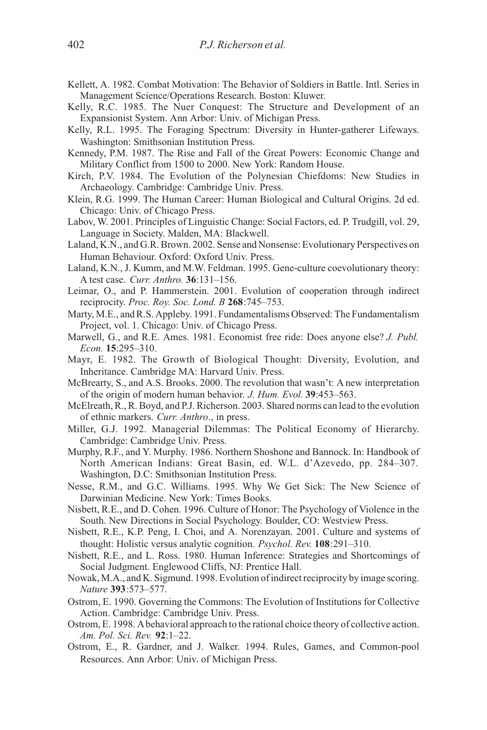- Kellett, A. 1982. Combat Motivation: The Behavior of Soldiers in Battle. Intl. Series in Management Science/Operations Research. Boston: Kluwer.
- Kelly, R.C. 1985. The Nuer Conquest: The Structure and Development of an Expansionist System. Ann Arbor: Univ. of Michigan Press.
- Kelly, R.L. 1995. The Foraging Spectrum: Diversity in Hunter-gatherer Lifeways. Washington: Smithsonian Institution Press.
- Kennedy, P.M. 1987. The Rise and Fall of the Great Powers: Economic Change and Military Conflict from 1500 to 2000. New York: Random House.
- Kirch, P.V. 1984. The Evolution of the Polynesian Chiefdoms: New Studies in Archaeology. Cambridge: Cambridge Univ. Press.
- Klein, R.G. 1999. The Human Career: Human Biological and Cultural Origins. 2d ed. Chicago: Univ. of Chicago Press.
- Labov, W. 2001. Principles of Linguistic Change: Social Factors, ed. P. Trudgill, vol. 29, Language in Society. Malden, MA: Blackwell.
- Laland, K.N., and G.R. Brown. 2002. Sense and Nonsense: Evolutionary Perspectives on Human Behaviour. Oxford: Oxford Univ. Press.
- Laland, K.N., J. Kumm, and M.W. Feldman. 1995. Gene-culture coevolutionary theory: A test case. *Curr. Anthro.* **36**:131–156.
- Leimar, O., and P. Hammerstein. 2001. Evolution of cooperation through indirect reciprocity. *Proc. Roy. Soc. Lond. B* **268**:745–753.
- Marty, M.E., and R.S. Appleby. 1991. Fundamentalisms Observed: The Fundamentalism Project, vol. 1. Chicago: Univ. of Chicago Press.
- Marwell, G., and R.E. Ames. 1981. Economist free ride: Does anyone else? *J. Publ. Econ.* **15**:295–310.
- Mayr, E. 1982. The Growth of Biological Thought: Diversity, Evolution, and Inheritance. Cambridge MA: Harvard Univ. Press.
- McBrearty, S., and A.S. Brooks. 2000. The revolution that wasn't: A new interpretation of the origin of modern human behavior. *J. Hum. Evol.* **39**:453–563.
- McElreath, R., R. Boyd, and P.J. Richerson. 2003. Shared norms can lead to the evolution of ethnic markers. *Curr. Anthro*., in press.
- Miller, G.J. 1992. Managerial Dilemmas: The Political Economy of Hierarchy. Cambridge: Cambridge Univ. Press.
- Murphy, R.F., and Y. Murphy. 1986. Northern Shoshone and Bannock. In: Handbook of North American Indians: Great Basin, ed. W.L. d'Azevedo, pp. 284–307. Washington, D.C: Smithsonian Institution Press.
- Nesse, R.M., and G.C. Williams. 1995. Why We Get Sick: The New Science of Darwinian Medicine. New York: Times Books.
- Nisbett, R.E., and D. Cohen. 1996. Culture of Honor: The Psychology of Violence in the South. New Directions in Social Psychology. Boulder, CO: Westview Press.
- Nisbett, R.E., K.P. Peng, I. Choi, and A. Norenzayan. 2001. Culture and systems of thought: Holistic versus analytic cognition. *Psychol. Rev.* **108**:291–310.
- Nisbett, R.E., and L. Ross. 1980. Human Inference: Strategies and Shortcomings of Social Judgment. Englewood Cliffs, NJ: Prentice Hall.
- Nowak, M.A., and K. Sigmund. 1998. Evolution of indirect reciprocity by image scoring. *Nature* **393**:573–577.
- Ostrom, E. 1990. Governing the Commons: The Evolution of Institutions for Collective Action. Cambridge: Cambridge Univ. Press.
- Ostrom, E. 1998. Abehavioral approach to the rational choice theory of collective action. *Am. Pol. Sci. Rev.* **92**:1–22.
- Ostrom, E., R. Gardner, and J. Walker. 1994. Rules, Games, and Common-pool Resources. Ann Arbor: Univ. of Michigan Press.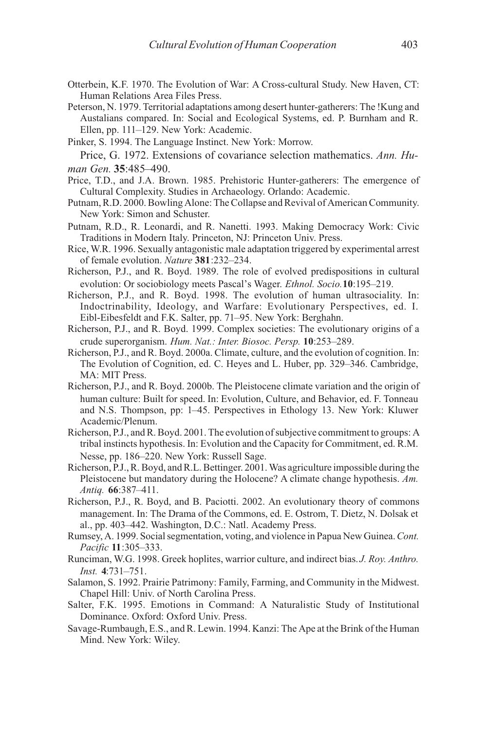- Otterbein, K.F. 1970. The Evolution of War: A Cross-cultural Study. New Haven, CT: Human Relations Area Files Press.
- Peterson, N. 1979. Territorial adaptations among desert hunter-gatherers: The !Kung and Austalians compared. In: Social and Ecological Systems, ed. P. Burnham and R. Ellen, pp. 111–129. New York: Academic.
- Pinker, S. 1994. The Language Instinct. New York: Morrow.

Price, G. 1972. Extensions of covariance selection mathematics. *Ann. Human Gen.* **35**:485–490.

- Price, T.D., and J.A. Brown. 1985. Prehistoric Hunter-gatherers: The emergence of Cultural Complexity. Studies in Archaeology. Orlando: Academic.
- Putnam, R.D. 2000. Bowling Alone: The Collapse and Revival of American Community. New York: Simon and Schuster.
- Putnam, R.D., R. Leonardi, and R. Nanetti. 1993. Making Democracy Work: Civic Traditions in Modern Italy. Princeton, NJ: Princeton Univ. Press.
- Rice, W.R. 1996. Sexually antagonistic male adaptation triggered by experimental arrest of female evolution. *Nature* **381**:232–234.
- Richerson, P.J., and R. Boyd. 1989. The role of evolved predispositions in cultural evolution: Or sociobiology meets Pascal's Wager. *Ethnol. Socio.***10**:195–219.
- Richerson, P.J., and R. Boyd. 1998. The evolution of human ultrasociality. In: Indoctrinability, Ideology, and Warfare: Evolutionary Perspectives, ed. I. Eibl-Eibesfeldt and F.K. Salter, pp. 71–95. New York: Berghahn.
- Richerson, P.J., and R. Boyd. 1999. Complex societies: The evolutionary origins of a crude superorganism. *Hum. Nat.: Inter. Biosoc. Persp.* **10**:253–289.
- Richerson, P.J., and R. Boyd. 2000a. Climate, culture, and the evolution of cognition. In: The Evolution of Cognition, ed. C. Heyes and L. Huber, pp. 329–346. Cambridge, MA: MIT Press.
- Richerson, P.J., and R. Boyd. 2000b. The Pleistocene climate variation and the origin of human culture: Built for speed. In: Evolution, Culture, and Behavior, ed. F. Tonneau and N.S. Thompson, pp: 1–45. Perspectives in Ethology 13. New York: Kluwer Academic/Plenum.
- Richerson, P.J., and R. Boyd. 2001. The evolution of subjective commitment to groups: A tribal instincts hypothesis. In: Evolution and the Capacity for Commitment, ed. R.M. Nesse, pp. 186–220. New York: Russell Sage.
- Richerson, P.J., R. Boyd, and R.L. Bettinger. 2001. Was agriculture impossible during the Pleistocene but mandatory during the Holocene? A climate change hypothesis. *Am. Antiq.* **66**:387–411.
- Richerson, P.J., R. Boyd, and B. Paciotti. 2002. An evolutionary theory of commons management. In: The Drama of the Commons, ed. E. Ostrom, T. Dietz, N. Dolsak et al., pp. 403–442. Washington, D.C.: Natl. Academy Press.
- Rumsey, A. 1999. Social segmentation, voting, and violence in Papua New Guinea.*Cont. Pacific* **11**:305–333.
- Runciman, W.G. 1998. Greek hoplites, warrior culture, and indirect bias. *J. Roy. Anthro. Inst.* **4**:731–751.
- Salamon, S. 1992. Prairie Patrimony: Family, Farming, and Community in the Midwest. Chapel Hill: Univ. of North Carolina Press.
- Salter, F.K. 1995. Emotions in Command: A Naturalistic Study of Institutional Dominance. Oxford: Oxford Univ. Press.
- Savage-Rumbaugh, E.S., and R. Lewin. 1994. Kanzi: The Ape at the Brink of the Human Mind. New York: Wiley.